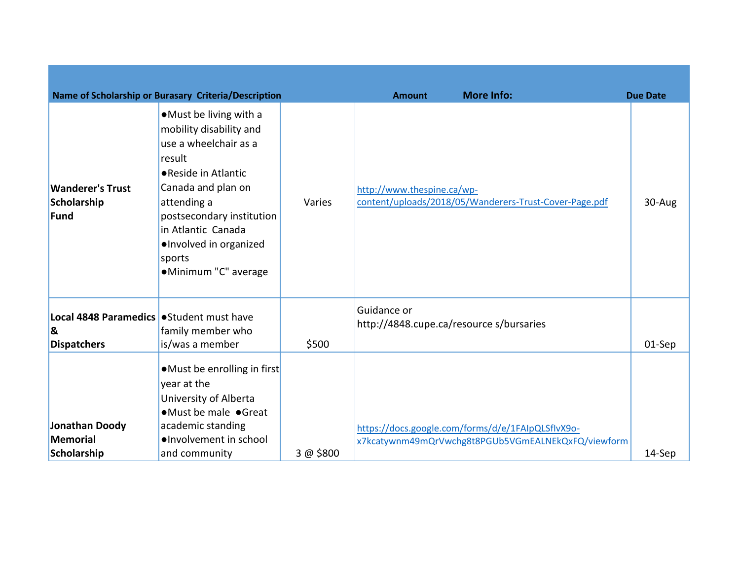|                                                                                 | Name of Scholarship or Burasary Criteria/Description                                                                                                                                                                                                             |           | <b>Amount</b>                                           | <b>More Info:</b>                                                                                       | <b>Due Date</b> |
|---------------------------------------------------------------------------------|------------------------------------------------------------------------------------------------------------------------------------------------------------------------------------------------------------------------------------------------------------------|-----------|---------------------------------------------------------|---------------------------------------------------------------------------------------------------------|-----------------|
| <b>Wanderer's Trust</b><br>Scholarship<br><b>Fund</b>                           | •Must be living with a<br>mobility disability and<br>use a wheelchair as a<br>result<br>● Reside in Atlantic<br>Canada and plan on<br>attending a<br>postsecondary institution<br>in Atlantic Canada<br>·Involved in organized<br>sports<br>·Minimum "C" average | Varies    | http://www.thespine.ca/wp-                              | content/uploads/2018/05/Wanderers-Trust-Cover-Page.pdf                                                  | 30-Aug          |
| Local 4848 Paramedics   Student must have<br>$\mathbf{g}$<br><b>Dispatchers</b> | family member who<br>is/was a member                                                                                                                                                                                                                             | \$500     | Guidance or<br>http://4848.cupe.ca/resource s/bursaries |                                                                                                         | 01-Sep          |
| Jonathan Doody<br><b>Memorial</b><br>Scholarship                                | • Must be enrolling in first<br>year at the<br>University of Alberta<br>•Must be male •Great<br>academic standing<br>·Involvement in school<br>and community                                                                                                     | 3 @ \$800 |                                                         | https://docs.google.com/forms/d/e/1FAIpQLSflvX9o-<br>x7kcatywnm49mQrVwchg8t8PGUb5VGmEALNEkQxFQ/viewform | 14-Sep          |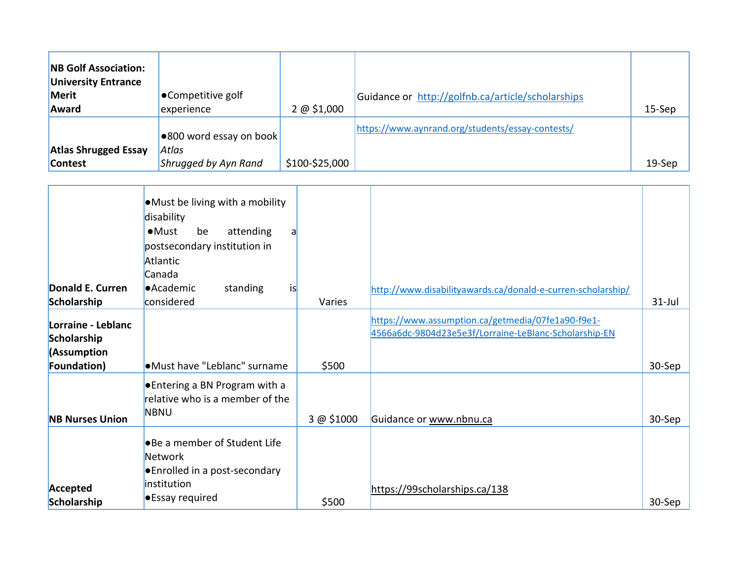| <b>NB Golf Association:</b><br><b>University Entrance</b><br>Merit<br>Award | ●Competitive golf<br>experience                          | 2 @ 51,000     | Guidance or http://golfnb.ca/article/scholarships | $15-$ Sep |
|-----------------------------------------------------------------------------|----------------------------------------------------------|----------------|---------------------------------------------------|-----------|
| <b>Atlas Shrugged Essay</b><br><b>Contest</b>                               | ●800 word essay on book<br>Atlas<br>Shrugged by Ayn Rand | \$100-\$25,000 | https://www.aynrand.org/students/essay-contests/  | $19-$ Sep |

|                                   | • Must be living with a mobility<br>disability<br>$\bullet$ Must<br>be<br>attending<br>a<br>postsecondary institution in |            |                                                                                                            |           |
|-----------------------------------|--------------------------------------------------------------------------------------------------------------------------|------------|------------------------------------------------------------------------------------------------------------|-----------|
|                                   | Atlantic                                                                                                                 |            |                                                                                                            |           |
|                                   | Canada                                                                                                                   |            |                                                                                                            |           |
| Donald E. Curren                  | <b>•Academic</b><br>is<br>standing                                                                                       |            | http://www.disabilityawards.ca/donald-e-curren-scholarship/                                                |           |
| Scholarship                       | considered                                                                                                               | Varies     |                                                                                                            | $31$ -Jul |
| Lorraine - Leblanc<br>Scholarship |                                                                                                                          |            | https://www.assumption.ca/getmedia/07fe1a90-f9e1-<br>4566a6dc-9804d23e5e3f/Lorraine-LeBlanc-Scholarship-EN |           |
| (Assumption                       |                                                                                                                          |            |                                                                                                            |           |
| Foundation)                       | .Must have "Leblanc" surname                                                                                             | \$500      |                                                                                                            | 30-Sep    |
| <b>NB Nurses Union</b>            | ● Entering a BN Program with a<br>relative who is a member of the<br><b>NBNU</b>                                         | 3 @ \$1000 | Guidance or www.nbnu.ca                                                                                    | 30-Sep    |
|                                   | •Be a member of Student Life<br><b>Network</b><br>● Enrolled in a post-secondary<br>institution                          |            |                                                                                                            |           |
| Accepted<br>Scholarship           | <b>•</b> Essay required                                                                                                  | \$500      | https://99scholarships.ca/138                                                                              | 30-Sep    |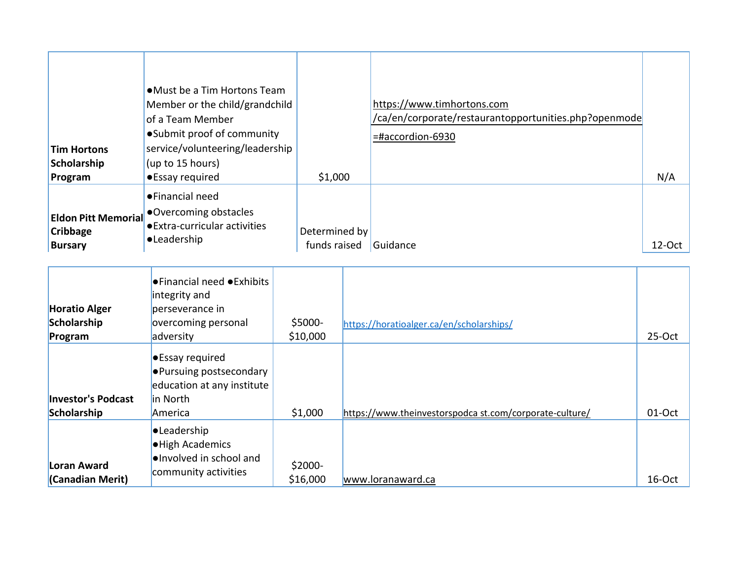| <b>Tim Hortons</b><br>Scholarship<br>Program                    | • Must be a Tim Hortons Team<br>Member or the child/grandchild<br>of a Team Member<br>• Submit proof of community<br>service/volunteering/leadership<br>(up to 15 hours)<br>•Essay required | \$1,000                       | https://www.timhortons.com<br>/ca/en/corporate/restaurantopportunities.php?openmode<br>$=$ #accordion-6930 | N/A       |
|-----------------------------------------------------------------|---------------------------------------------------------------------------------------------------------------------------------------------------------------------------------------------|-------------------------------|------------------------------------------------------------------------------------------------------------|-----------|
| <b>Eldon Pitt Memorial</b><br><b>Cribbage</b><br><b>Bursary</b> | ●Financial need<br>Overcoming obstacles<br>● Extra-curricular activities<br>•Leadership                                                                                                     | Determined by<br>funds raised | Guidance                                                                                                   | $12$ -Oct |

| <b>Horatio Alger</b><br>Scholarship      | $\bullet$ Financial need $\bullet$ Exhibits<br>integrity and<br>perseverance in<br>overcoming personal        | \$5000-             | https://horatioalger.ca/en/scholarships/                |          |
|------------------------------------------|---------------------------------------------------------------------------------------------------------------|---------------------|---------------------------------------------------------|----------|
| Program                                  | adversity                                                                                                     | \$10,000            |                                                         | $25-Oct$ |
| <b>Investor's Podcast</b><br>Scholarship | <b>Essay required</b><br><b>•</b> Pursuing postsecondary<br>education at any institute<br>in North<br>America | \$1,000             | https://www.theinvestorspodca st.com/corporate-culture/ | 01-Oct   |
| Loran Award<br>(Canadian Merit)          | <b>•Leadership</b><br><b>.</b> High Academics<br><b>.</b> Involved in school and<br>community activities      | \$2000-<br>\$16,000 | www.loranaward.ca                                       | 16-Oct   |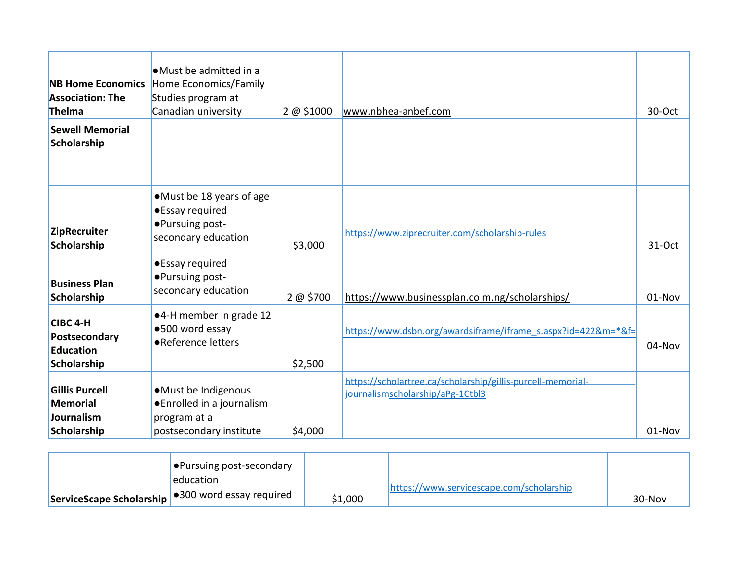| <b>NB Home Economics</b><br><b>Association: The</b><br>Thelma         | $\bullet$ Must be admitted in a<br>Home Economics/Family<br>Studies program at<br>Canadian university | 2 @ \$1000 | www.nbhea-anbef.com                                                                             | 30-Oct |
|-----------------------------------------------------------------------|-------------------------------------------------------------------------------------------------------|------------|-------------------------------------------------------------------------------------------------|--------|
| <b>Sewell Memorial</b><br>Scholarship                                 |                                                                                                       |            |                                                                                                 |        |
| <b>ZipRecruiter</b><br>Scholarship                                    | •Must be 18 years of age<br>•Essay required<br>•Pursuing post-<br>secondary education                 | \$3,000    | https://www.ziprecruiter.com/scholarship-rules                                                  | 31-Oct |
| <b>Business Plan</b><br>Scholarship                                   | •Essay required<br>• Pursuing post-<br>secondary education                                            | 2 @ \$700  | https://www.businessplan.com.ng/scholarships/                                                   | 01-Nov |
| CIBC 4-H<br>Postsecondary<br><b>Education</b><br>Scholarship          | ●4-H member in grade 12<br>●500 word essay<br>•Reference letters                                      | \$2,500    | https://www.dsbn.org/awardsiframe/iframe_s.aspx?id=422&m=*&f=                                   | 04-Nov |
| <b>Gillis Purcell</b><br><b>Memorial</b><br>Journalism<br>Scholarship | ·Must be Indigenous<br>● Enrolled in a journalism<br>program at a<br>postsecondary institute          | \$4,000    | https://scholartree.ca/scholarship/gillis-purcell-memorial-<br>journalismscholarship/aPg-1Ctbl3 | 01-Nov |

| $\bullet$ Pursuing post-secondary                            |         |                                          |          |
|--------------------------------------------------------------|---------|------------------------------------------|----------|
| leducation                                                   |         | https://www.servicescape.com/scholarship |          |
| ServiceScape Scholarship <sup>9300</sup> word essay required | \$1,000 |                                          | $30-Nov$ |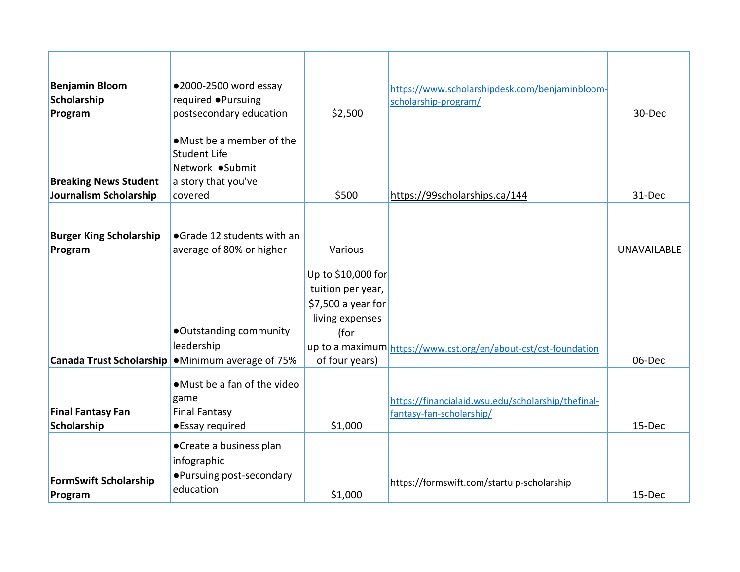| <b>Benjamin Bloom</b>           | ●2000-2500 word essay        |                     | https://www.scholarshipdesk.com/benjaminbloom-                  |                    |
|---------------------------------|------------------------------|---------------------|-----------------------------------------------------------------|--------------------|
| Scholarship                     | required ●Pursuing           |                     | scholarship-program/                                            |                    |
| Program                         | postsecondary education      | \$2,500             |                                                                 | 30-Dec             |
|                                 |                              |                     |                                                                 |                    |
|                                 | • Must be a member of the    |                     |                                                                 |                    |
|                                 | Student Life                 |                     |                                                                 |                    |
|                                 | Network ●Submit              |                     |                                                                 |                    |
| <b>Breaking News Student</b>    | a story that you've          |                     |                                                                 |                    |
| Journalism Scholarship          | covered                      | \$500               | https://99scholarships.ca/144                                   | 31-Dec             |
|                                 |                              |                     |                                                                 |                    |
| <b>Burger King Scholarship</b>  | • Grade 12 students with an  |                     |                                                                 |                    |
| Program                         | average of 80% or higher     | Various             |                                                                 | <b>UNAVAILABLE</b> |
|                                 |                              |                     |                                                                 |                    |
|                                 |                              | Up to $$10,000$ for |                                                                 |                    |
|                                 |                              | tuition per year,   |                                                                 |                    |
|                                 |                              | \$7,500 a year for  |                                                                 |                    |
|                                 |                              | living expenses     |                                                                 |                    |
|                                 | •Outstanding community       | (for                |                                                                 |                    |
|                                 | leadership                   |                     | up to a maximum https://www.cst.org/en/about-cst/cst-foundation |                    |
| <b>Canada Trust Scholarship</b> | •Minimum average of 75%      | of four years)      |                                                                 | 06-Dec             |
|                                 | • Must be a fan of the video |                     |                                                                 |                    |
|                                 | game                         |                     |                                                                 |                    |
| <b>Final Fantasy Fan</b>        | <b>Final Fantasy</b>         |                     | https://financialaid.wsu.edu/scholarship/thefinal-              |                    |
| Scholarship                     | •Essay required              | \$1,000             | fantasy-fan-scholarship/                                        | 15-Dec             |
|                                 |                              |                     |                                                                 |                    |
|                                 | • Create a business plan     |                     |                                                                 |                    |
|                                 | infographic                  |                     |                                                                 |                    |
| <b>FormSwift Scholarship</b>    | • Pursuing post-secondary    |                     | https://formswift.com/startu p-scholarship                      |                    |
| Program                         | education                    | \$1,000             |                                                                 | 15-Dec             |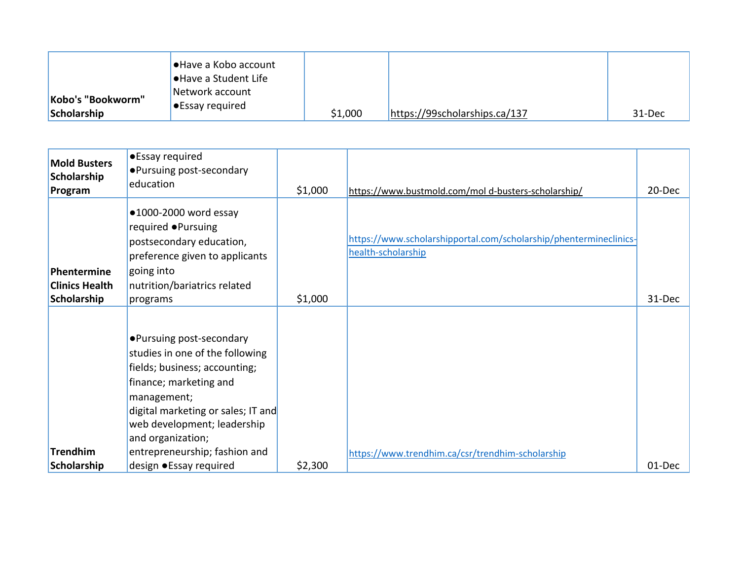| Kobo's "Bookworm" | Have a Kobo account●<br><b>● Have a Student Life</b><br>Network account |         |                               |        |
|-------------------|-------------------------------------------------------------------------|---------|-------------------------------|--------|
| Scholarship       | $\bullet$ Essay required                                                | \$1,000 | https://99scholarships.ca/137 | 31-Dec |

| <b>Mold Busters</b><br>Scholarship<br>Program       | •Essay required<br>• Pursuing post-secondary<br>education                                                                                                                                                                                                         | \$1,000 | https://www.bustmold.com/mol d-busters-scholarship/                                     | 20-Dec |
|-----------------------------------------------------|-------------------------------------------------------------------------------------------------------------------------------------------------------------------------------------------------------------------------------------------------------------------|---------|-----------------------------------------------------------------------------------------|--------|
| Phentermine<br><b>Clinics Health</b><br>Scholarship | $•1000-2000$ word essay<br>required ● Pursuing<br>postsecondary education,<br>preference given to applicants<br>going into<br>nutrition/bariatrics related<br>programs                                                                                            | \$1,000 | https://www.scholarshipportal.com/scholarship/phentermineclinics-<br>health-scholarship | 31-Dec |
| <b>Trendhim</b>                                     | • Pursuing post-secondary<br>studies in one of the following<br>fields; business; accounting;<br>finance; marketing and<br>management;<br>digital marketing or sales; IT and<br>web development; leadership<br>and organization;<br>entrepreneurship; fashion and |         | https://www.trendhim.ca/csr/trendhim-scholarship                                        |        |
| Scholarship                                         | design • Essay required                                                                                                                                                                                                                                           | \$2,300 |                                                                                         | 01-Dec |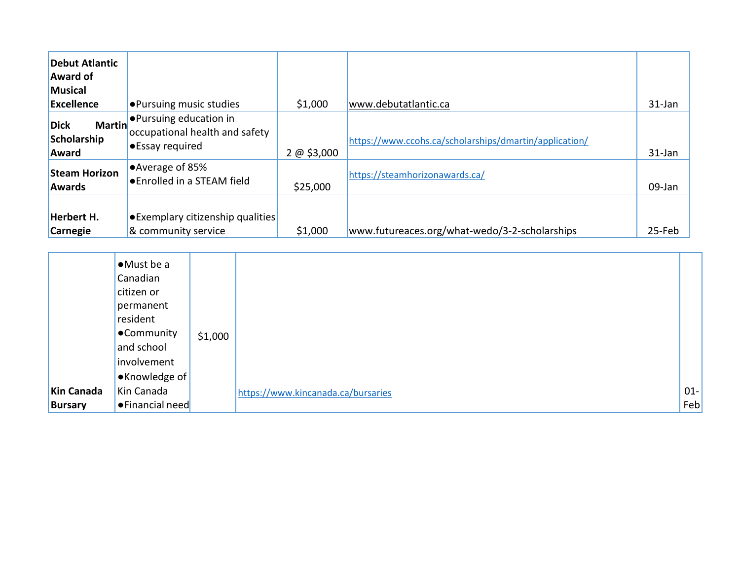| <b>Debut Atlantic</b><br><b>Award of</b><br>Musical  |                                                                              |            |                                                        |        |
|------------------------------------------------------|------------------------------------------------------------------------------|------------|--------------------------------------------------------|--------|
| Excellence                                           | <b>.</b> Pursuing music studies                                              | \$1,000    | www.debutatlantic.ca                                   | 31-Jan |
| <b>Martin</b><br><b>Dick</b><br>Scholarship<br>Award | ● Pursuing education in<br>occupational health and safety<br>•Essay required | 2 @ 53,000 | https://www.ccohs.ca/scholarships/dmartin/application/ | 31-Jan |
| <b>Steam Horizon</b><br><b>Awards</b>                | ● Average of 85%<br>● Enrolled in a STEAM field                              | \$25,000   | https://steamhorizonawards.ca/                         | 09-Jan |
| <b>Herbert H.</b><br><b>Carnegie</b>                 | • Exemplary citizenship qualities<br>& community service                     | \$1,000    | www.futureaces.org/what-wedo/3-2-scholarships          | 25-Feb |

|                   | $\bullet$ Must be a<br>Canadian<br>citizen or<br>permanent<br>resident<br><b>•Community</b><br>and school<br>involvement | \$1,000 |                                    |        |
|-------------------|--------------------------------------------------------------------------------------------------------------------------|---------|------------------------------------|--------|
|                   | ●Knowledge of                                                                                                            |         |                                    |        |
| <b>Kin Canada</b> | Kin Canada                                                                                                               |         | https://www.kincanada.ca/bursaries | $01 -$ |
| <b>Bursary</b>    | <b>•</b> Financial need                                                                                                  |         |                                    | Feb    |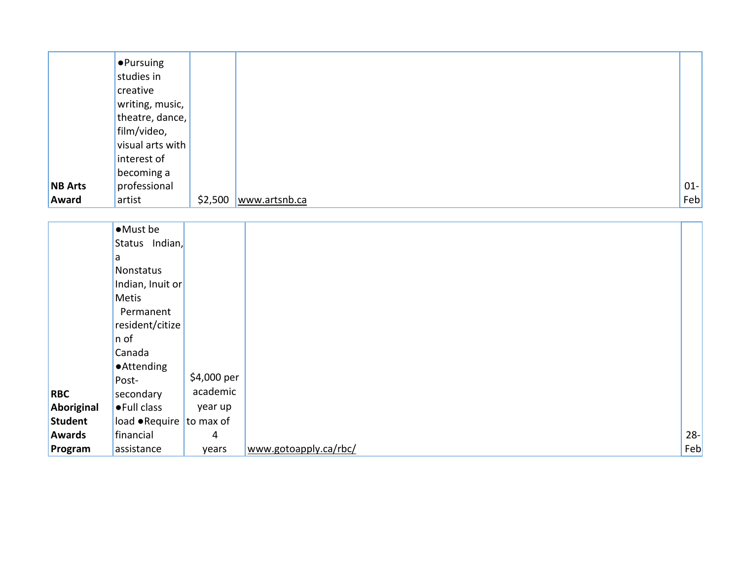|                | $\bullet$ Pursuing |         |               |        |
|----------------|--------------------|---------|---------------|--------|
|                | studies in         |         |               |        |
|                | creative           |         |               |        |
|                | writing, music,    |         |               |        |
|                | theatre, dance,    |         |               |        |
|                | film/video,        |         |               |        |
|                | visual arts with   |         |               |        |
|                | interest of        |         |               |        |
|                | becoming a         |         |               |        |
| <b>NB</b> Arts | professional       |         |               | $01 -$ |
| Award          | artist             | \$2,500 | www.artsnb.ca | Feb    |

|                | •Must be                         |             |                       |        |
|----------------|----------------------------------|-------------|-----------------------|--------|
|                | Status Indian,                   |             |                       |        |
|                | a                                |             |                       |        |
|                | Nonstatus                        |             |                       |        |
|                | Indian, Inuit or                 |             |                       |        |
|                | Metis                            |             |                       |        |
|                | Permanent                        |             |                       |        |
|                | resident/citize                  |             |                       |        |
|                | n of                             |             |                       |        |
|                | Canada                           |             |                       |        |
|                | <b>•Attending</b>                |             |                       |        |
|                | Post-                            | \$4,000 per |                       |        |
| <b>RBC</b>     | secondary                        | academic    |                       |        |
| Aboriginal     | •Full class                      | year up     |                       |        |
| <b>Student</b> | load $\bullet$ Require to max of |             |                       |        |
| <b>Awards</b>  | financial                        | 4           |                       | $28 -$ |
| Program        | assistance                       | years       | www.gotoapply.ca/rbc/ | Feb    |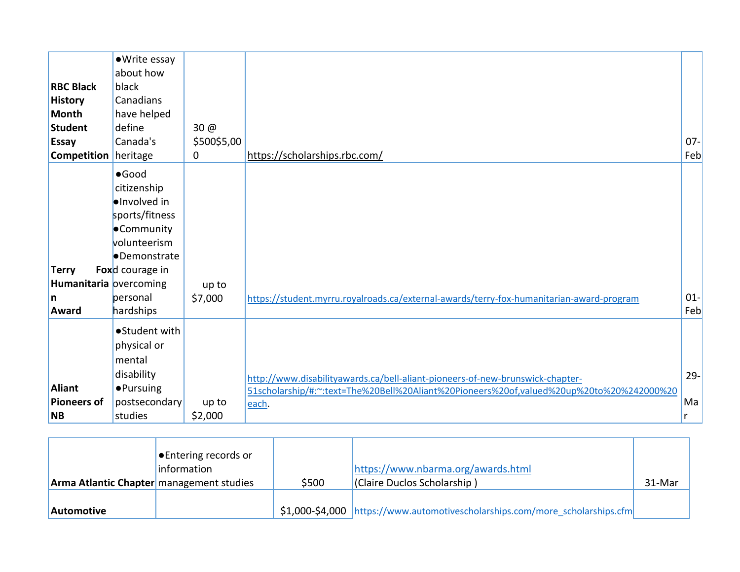| <b>RBC Black</b><br><b>History</b><br><b>Month</b><br><b>Student</b><br><b>Essay</b><br><b>Competition</b> heritage | •Write essay<br>about how<br>black<br>Canadians<br>have helped<br>define<br>Canada's                                                                 | 30 @<br>\$500\$5,00<br>0 | https://scholarships.rbc.com/                                                                                                                                                      | $07 -$<br>Feb     |
|---------------------------------------------------------------------------------------------------------------------|------------------------------------------------------------------------------------------------------------------------------------------------------|--------------------------|------------------------------------------------------------------------------------------------------------------------------------------------------------------------------------|-------------------|
| <b>Terry</b><br>Humanitaria overcoming<br>n<br>Award                                                                | $•$ Good<br>citizenship<br>lelnvolved in<br>sports/fitness<br>•Community<br>volunteerism<br>•Demonstrate<br>Foxd courage in<br>personal<br>hardships | up to<br>\$7,000         | https://student.myrru.royalroads.ca/external-awards/terry-fox-humanitarian-award-program                                                                                           | $01 -$<br>Feb     |
| <b>Aliant</b><br><b>Pioneers of</b><br><b>NB</b>                                                                    | •Student with<br>physical or<br>mental<br>disability<br><b>•Pursuing</b><br>postsecondary<br>studies                                                 | up to<br>\$2,000         | http://www.disabilityawards.ca/bell-aliant-pioneers-of-new-brunswick-chapter-<br>51scholarship/#:~:text=The%20Bell%20Aliant%20Pioneers%20of,valued%20up%20to%20%242000%20<br>each. | $29 -$<br>Ma<br>r |

| <b>Arma Atlantic Chapter</b> management studies | <b>Entering records or</b><br>information | \$500 | https://www.nbarma.org/awards.html<br>(Claire Duclos Scholarship)            | 31-Mar |
|-------------------------------------------------|-------------------------------------------|-------|------------------------------------------------------------------------------|--------|
| <b>Automotive</b>                               |                                           |       | \$1,000-\$4,000 https://www.automotivescholarships.com/more scholarships.cfm |        |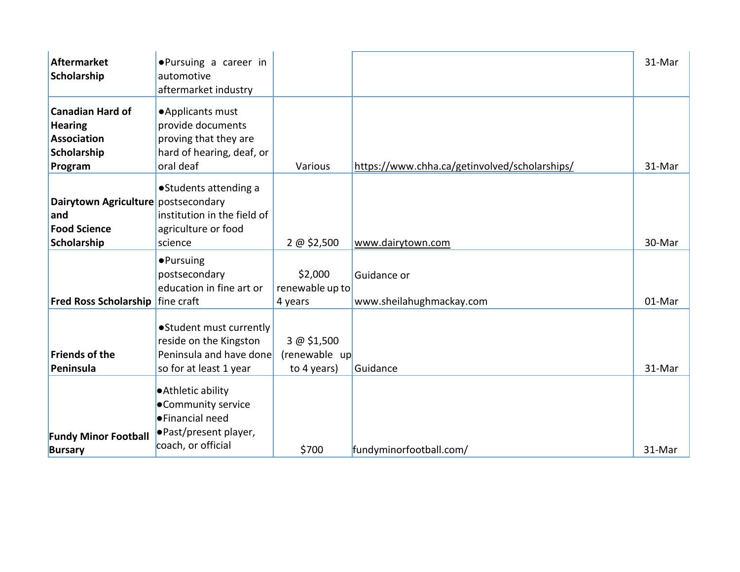| <b>Aftermarket</b><br>Scholarship                                                         | ●Pursuing a career in<br>automotive<br>aftermarket industry                                                              |                                             |                                               | 31-Mar |
|-------------------------------------------------------------------------------------------|--------------------------------------------------------------------------------------------------------------------------|---------------------------------------------|-----------------------------------------------|--------|
| <b>Canadian Hard of</b><br><b>Hearing</b><br><b>Association</b><br>Scholarship<br>Program | • Applicants must<br>provide documents<br>proving that they are<br>hard of hearing, deaf, or<br>oral deaf                | Various                                     | https://www.chha.ca/getinvolved/scholarships/ | 31-Mar |
| Dairytown Agriculture postsecondary<br>and<br><b>Food Science</b><br>Scholarship          | • Students attending a<br>institution in the field of<br>agriculture or food<br>science                                  | 2 @ 52,500                                  | www.dairytown.com                             | 30-Mar |
| Fred Ross Scholarship   fine craft                                                        | ·Pursuing<br>postsecondary<br>education in fine art or                                                                   | \$2,000<br>renewable up to<br>4 years       | Guidance or<br>www.sheilahughmackay.com       | 01-Mar |
| <b>Friends of the</b><br>Peninsula                                                        | • Student must currently<br>reside on the Kingston<br>Peninsula and have done<br>so for at least 1 year                  | 3 @ \$1,500<br>(renewable up<br>to 4 years) | Guidance                                      | 31-Mar |
| <b>Fundy Minor Football</b><br><b>Bursary</b>                                             | <b>Athletic ability</b><br>•Community service<br><b>•</b> Financial need<br>● Past/present player,<br>coach, or official | \$700                                       | fundyminorfootball.com/                       | 31-Mar |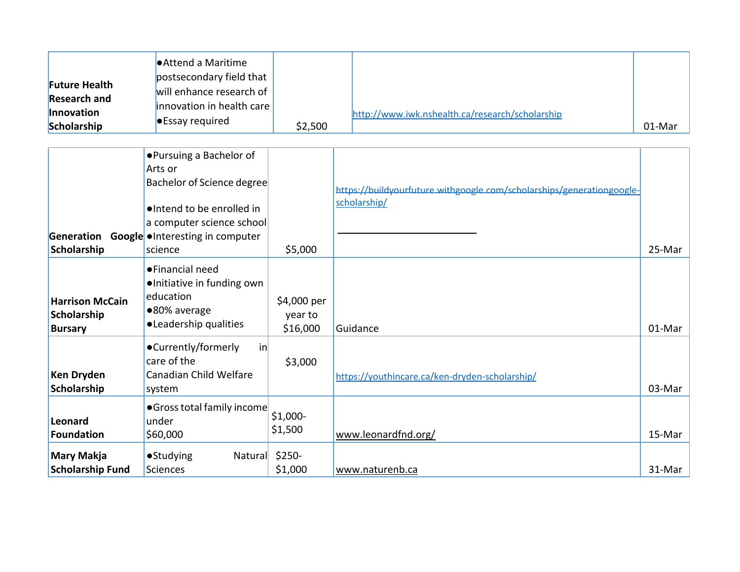| <b>Future Health</b><br><b>Research and</b><br>Innovation<br>Scholarship | ● Attend a Maritime<br>postsecondary field that<br>will enhance research of<br>innovation in health care<br><b>•</b> Essay required                                       | \$2,500                            | http://www.iwk.nshealth.ca/research/scholarship                                       | 01-Mar |
|--------------------------------------------------------------------------|---------------------------------------------------------------------------------------------------------------------------------------------------------------------------|------------------------------------|---------------------------------------------------------------------------------------|--------|
| Generation<br>Scholarship                                                | ●Pursuing a Bachelor of<br>Arts or<br>Bachelor of Science degree<br>·Intend to be enrolled in<br>a computer science school<br>Google • Interesting in computer<br>science | \$5,000                            | https://buildyourfuture.withgoogle.com/scholarships/generationgoogle-<br>scholarship/ | 25-Mar |
| <b>Harrison McCain</b><br>Scholarship<br><b>Bursary</b>                  | ●Financial need<br>•Initiative in funding own<br>education<br>●80% average<br>•Leadership qualities                                                                       | \$4,000 per<br>year to<br>\$16,000 | Guidance                                                                              | 01-Mar |
| <b>Ken Dryden</b><br>Scholarship                                         | •Currently/formerly<br>inl<br>care of the<br>Canadian Child Welfare<br>system                                                                                             | \$3,000                            | https://youthincare.ca/ken-dryden-scholarship/                                        | 03-Mar |
| <b>Leonard</b><br><b>Foundation</b><br><b>Mary Makja</b>                 | • Gross total family income<br>under<br>\$60,000<br><b>•Studying</b><br>Natural                                                                                           | $$1,000-$<br>\$1,500<br>$$250-$    | www.leonardfnd.org/                                                                   | 15-Mar |
| <b>Scholarship Fund</b>                                                  | Sciences                                                                                                                                                                  | \$1,000                            | www.naturenb.ca                                                                       | 31-Mar |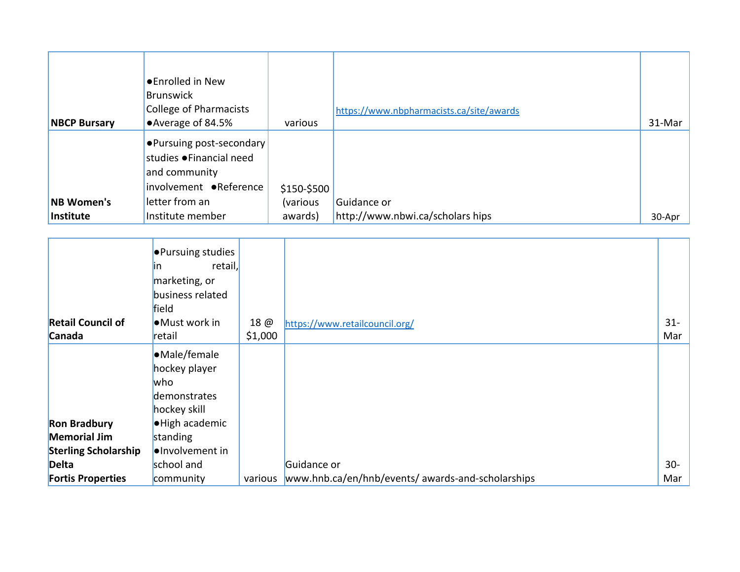|                     | <b>•</b> Enrolled in New<br>Brunswick<br>College of Pharmacists                                       |             | https://www.nbpharmacists.ca/site/awards |        |
|---------------------|-------------------------------------------------------------------------------------------------------|-------------|------------------------------------------|--------|
| <b>NBCP Bursary</b> | •Average of 84.5%                                                                                     | various     |                                          | 31-Mar |
|                     | <b>Pursuing post-secondary</b><br>studies • Financial need<br>and community<br>involvement •Reference | \$150-\$500 |                                          |        |
| <b>NB Women's</b>   | letter from an                                                                                        | (various    | Guidance or                              |        |
| Institute           | Institute member                                                                                      | awards)     | http://www.nbwi.ca/scholars hips         | 30-Apr |

|                             | <b>•</b> Pursuing studies<br>retail,<br>ın<br>marketing, or<br>business related<br>field |         |                                                   |        |
|-----------------------------|------------------------------------------------------------------------------------------|---------|---------------------------------------------------|--------|
| <b>Retail Council of</b>    | •Must work in                                                                            | 18 @    | https://www.retailcouncil.org/                    | $31 -$ |
| Canada                      | retail                                                                                   | \$1,000 |                                                   | Mar    |
|                             | •Male/female<br>hockey player<br>who<br>demonstrates<br>hockey skill                     |         |                                                   |        |
| <b>Ron Bradbury</b>         | ·High academic                                                                           |         |                                                   |        |
| <b>Memorial Jim</b>         | standing                                                                                 |         |                                                   |        |
| <b>Sterling Scholarship</b> | ·Involvement in                                                                          |         |                                                   |        |
| <b>Delta</b>                | school and                                                                               |         | Guidance or                                       | $30-$  |
| <b>Fortis Properties</b>    | community                                                                                | various | www.hnb.ca/en/hnb/events/ awards-and-scholarships | Mar    |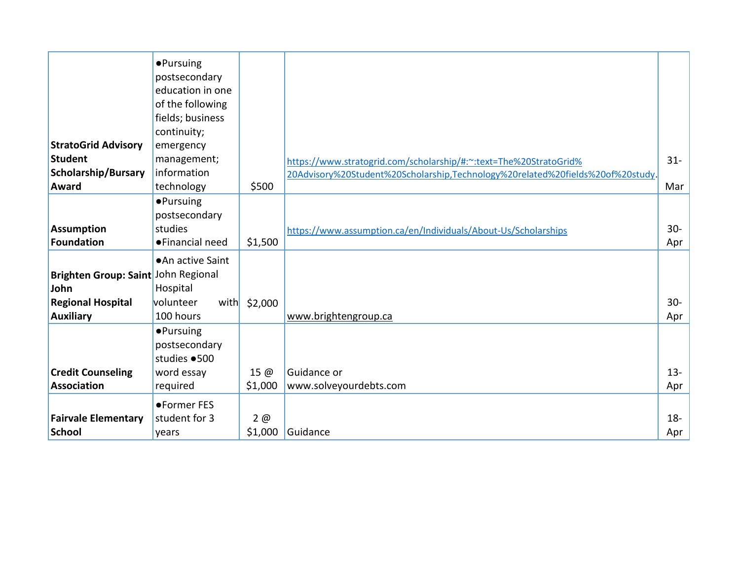|                                              | <b>•Pursuing</b><br>postsecondary<br>education in one<br>of the following<br>fields; business |               |                                                                                |               |
|----------------------------------------------|-----------------------------------------------------------------------------------------------|---------------|--------------------------------------------------------------------------------|---------------|
|                                              | continuity;                                                                                   |               |                                                                                |               |
| <b>StratoGrid Advisory</b>                   | emergency                                                                                     |               |                                                                                |               |
| <b>Student</b>                               | management;                                                                                   |               | https://www.stratogrid.com/scholarship/#:~:text=The%20StratoGrid%              | $31 -$        |
| <b>Scholarship/Bursary</b>                   | information                                                                                   |               | 20Advisory%20Student%20Scholarship,Technology%20related%20fields%20of%20study. |               |
| <b>Award</b>                                 | technology                                                                                    | \$500         |                                                                                | Mar           |
|                                              | <b>•Pursuing</b>                                                                              |               |                                                                                |               |
|                                              | postsecondary                                                                                 |               |                                                                                |               |
| <b>Assumption</b>                            | studies                                                                                       |               | https://www.assumption.ca/en/Individuals/About-Us/Scholarships                 | $30 -$        |
| <b>Foundation</b>                            | • Financial need                                                                              | \$1,500       |                                                                                | Apr           |
| Brighten Group: Saint John Regional<br>John  | • An active Saint<br>Hospital<br>volunteer                                                    |               |                                                                                | $30-$         |
| <b>Regional Hospital</b><br><b>Auxiliary</b> | with<br>100 hours                                                                             | \$2,000       | www.brightengroup.ca                                                           | Apr           |
|                                              | <b>•Pursuing</b><br>postsecondary<br>studies · 500                                            |               |                                                                                |               |
| <b>Credit Counseling</b>                     | word essay                                                                                    | 15 @          | Guidance or                                                                    | $13 -$        |
| <b>Association</b>                           | required                                                                                      | \$1,000       | www.solveyourdebts.com                                                         | Apr           |
| <b>Fairvale Elementary</b><br><b>School</b>  | ●Former FES<br>student for 3<br>years                                                         | 2@<br>\$1,000 | Guidance                                                                       | $18 -$<br>Apr |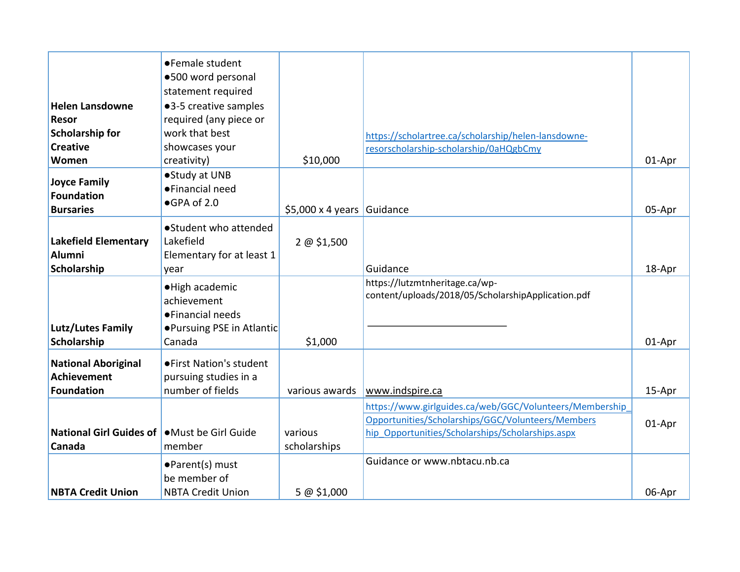|                                                   | ● Female student           |                                 |                                                         |        |
|---------------------------------------------------|----------------------------|---------------------------------|---------------------------------------------------------|--------|
|                                                   | ·500 word personal         |                                 |                                                         |        |
|                                                   | statement required         |                                 |                                                         |        |
| <b>Helen Lansdowne</b>                            | ●3-5 creative samples      |                                 |                                                         |        |
| <b>Resor</b>                                      | required (any piece or     |                                 |                                                         |        |
| <b>Scholarship for</b>                            | work that best             |                                 | https://scholartree.ca/scholarship/helen-lansdowne-     |        |
| <b>Creative</b>                                   | showcases your             |                                 | resorscholarship-scholarship/0aHQgbCmy                  |        |
| Women                                             | creativity)                | \$10,000                        |                                                         | 01-Apr |
|                                                   | ● Study at UNB             |                                 |                                                         |        |
| <b>Joyce Family</b>                               | ●Financial need            |                                 |                                                         |        |
| <b>Foundation</b>                                 | ●GPA of 2.0                |                                 |                                                         |        |
| <b>Bursaries</b>                                  |                            | $$5,000 \times 4 \text{ years}$ | Guidance                                                | 05-Apr |
|                                                   | ● Student who attended     |                                 |                                                         |        |
| <b>Lakefield Elementary</b>                       | Lakefield                  | 2 @ \$1,500                     |                                                         |        |
| <b>Alumni</b>                                     | Elementary for at least 1  |                                 |                                                         |        |
| Scholarship                                       | year                       |                                 | Guidance                                                | 18-Apr |
|                                                   |                            |                                 | https://lutzmtnheritage.ca/wp-                          |        |
|                                                   | ·High academic             |                                 | content/uploads/2018/05/ScholarshipApplication.pdf      |        |
|                                                   | achievement                |                                 |                                                         |        |
|                                                   | • Financial needs          |                                 |                                                         |        |
| <b>Lutz/Lutes Family</b>                          | ● Pursuing PSE in Atlantic |                                 |                                                         |        |
| Scholarship                                       | Canada                     | \$1,000                         |                                                         | 01-Apr |
| <b>National Aboriginal</b>                        | ● First Nation's student   |                                 |                                                         |        |
| <b>Achievement</b>                                | pursuing studies in a      |                                 |                                                         |        |
| <b>Foundation</b>                                 | number of fields           | various awards                  | www.indspire.ca                                         | 15-Apr |
|                                                   |                            |                                 | https://www.girlguides.ca/web/GGC/Volunteers/Membership |        |
|                                                   |                            |                                 | Opportunities/Scholarships/GGC/Volunteers/Members       | 01-Apr |
| National Girl Guides of <b>Must be Girl Guide</b> |                            | various                         | hip Opportunities/Scholarships/Scholarships.aspx        |        |
| Canada                                            | member                     | scholarships                    |                                                         |        |
|                                                   | ●Parent(s) must            |                                 | Guidance or www.nbtacu.nb.ca                            |        |
|                                                   | be member of               |                                 |                                                         |        |
|                                                   |                            |                                 |                                                         |        |
| <b>NBTA Credit Union</b>                          | <b>NBTA Credit Union</b>   | 5 @ \$1,000                     |                                                         | 06-Apr |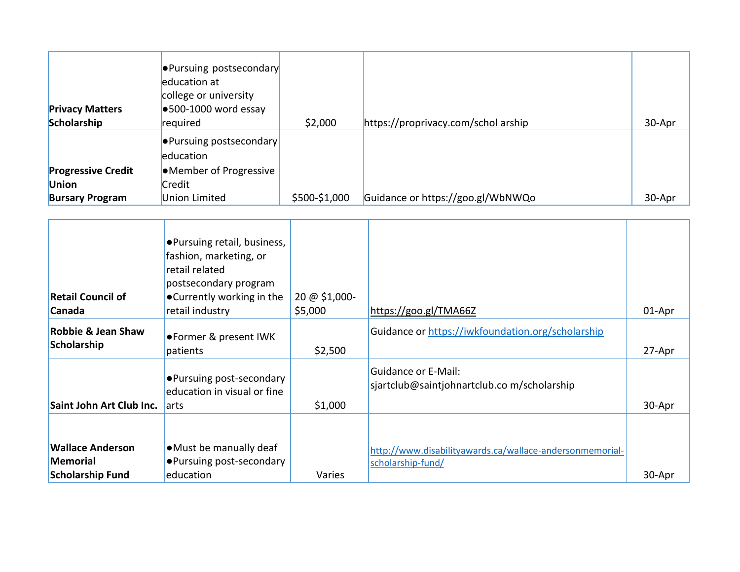| <b>Privacy Matters</b><br>Scholarship                               | <b>Pursuing postsecondary</b><br>education at<br>college or university<br>$\bullet$ 500-1000 word essay<br>required | \$2,000       | https://proprivacy.com/schol arship | 30-Apr |
|---------------------------------------------------------------------|---------------------------------------------------------------------------------------------------------------------|---------------|-------------------------------------|--------|
| <b>Progressive Credit</b><br><b>Union</b><br><b>Bursary Program</b> | ● Pursuing postsecondary<br>education<br>•Member of Progressive<br>Credit<br>Union Limited                          | \$500-\$1,000 | Guidance or https://goo.gl/WbNWQo   | 30-Apr |

| <b>Retail Council of</b><br><b>Canada</b>                             | ●Pursuing retail, business,<br>fashion, marketing, or<br>retail related<br>postsecondary program<br>●Currently working in the<br>retail industry | 20 @ \$1,000-<br>\$5,000 | https://goo.gl/TMA66Z                                                         | 01-Apr |
|-----------------------------------------------------------------------|--------------------------------------------------------------------------------------------------------------------------------------------------|--------------------------|-------------------------------------------------------------------------------|--------|
| Robbie & Jean Shaw<br>Scholarship                                     | ●Former & present IWK<br>patients                                                                                                                | \$2,500                  | Guidance or https://iwkfoundation.org/scholarship                             | 27-Apr |
| Saint John Art Club Inc.                                              | • Pursuing post-secondary<br>education in visual or fine<br>larts                                                                                | \$1,000                  | Guidance or E-Mail:<br>sjartclub@saintjohnartclub.com/scholarship             | 30-Apr |
|                                                                       |                                                                                                                                                  |                          |                                                                               |        |
| <b>Wallace Anderson</b><br><b>Memorial</b><br><b>Scholarship Fund</b> | • Must be manually deaf<br>• Pursuing post-secondary<br>education                                                                                | Varies                   | http://www.disabilityawards.ca/wallace-andersonmemorial-<br>scholarship-fund/ | 30-Apr |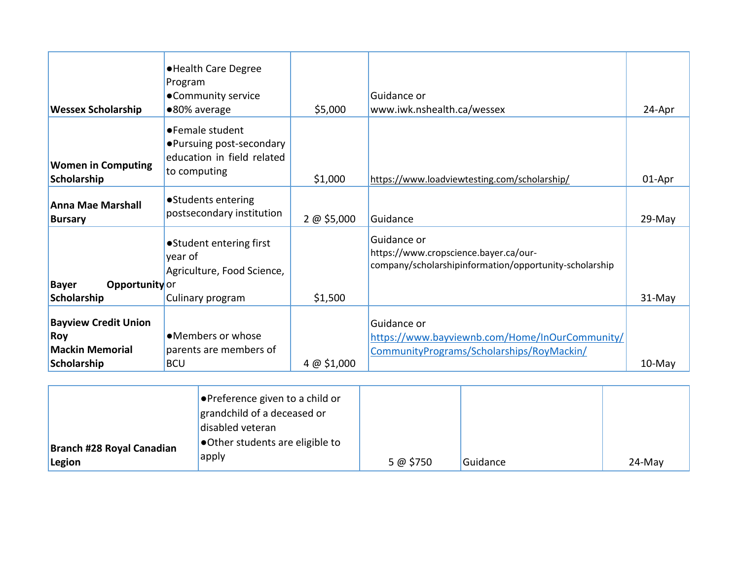| <b>Wessex Scholarship</b>                                    | • Health Care Degree<br>Program<br>•Community service<br>●80% average                      | \$5,000     | Guidance or<br>www.iwk.nshealth.ca/wessex                                                                      | 24-Apr    |
|--------------------------------------------------------------|--------------------------------------------------------------------------------------------|-------------|----------------------------------------------------------------------------------------------------------------|-----------|
| <b>Women in Computing</b><br>Scholarship                     | •Female student<br>• Pursuing post-secondary<br>education in field related<br>to computing | \$1,000     | https://www.loadviewtesting.com/scholarship/                                                                   | 01-Apr    |
| <b>Anna Mae Marshall</b><br><b>Bursary</b>                   | • Students entering<br>postsecondary institution                                           | 2 @ \$5,000 | Guidance                                                                                                       | 29-May    |
| <b>Bayer</b><br>Opportunity or                               | • Student entering first<br>year of<br>Agriculture, Food Science,                          |             | Guidance or<br>https://www.cropscience.bayer.ca/our-<br>company/scholarshipinformation/opportunity-scholarship |           |
| Scholarship                                                  | Culinary program                                                                           | \$1,500     |                                                                                                                | 31-May    |
| <b>Bayview Credit Union</b><br>Roy<br><b>Mackin Memorial</b> | •Members or whose<br>parents are members of                                                |             | Guidance or<br>https://www.bayviewnb.com/Home/InOurCommunity/<br>Community Programs/Scholarships/RoyMackin/    |           |
| Scholarship                                                  | <b>BCU</b>                                                                                 | 4 @ \$1,000 |                                                                                                                | $10$ -May |

|                                     | $\bullet$ Preference given to a child or<br>grandchild of a deceased or<br>disabled veteran<br>Other students are eligible to |          |          |           |
|-------------------------------------|-------------------------------------------------------------------------------------------------------------------------------|----------|----------|-----------|
| Branch #28 Royal Canadian<br>Legion | apply                                                                                                                         | 5 @ 5750 | Guidance | $24$ -May |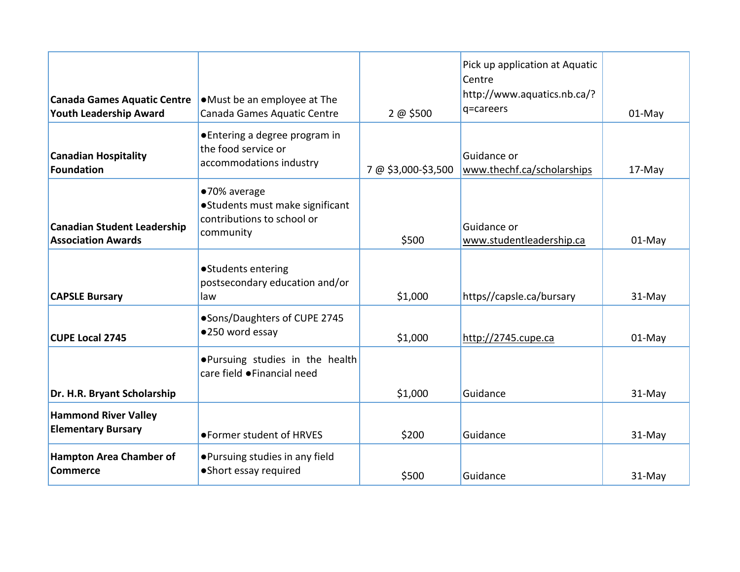| <b>Canada Games Aquatic Centre</b><br>Youth Leadership Award    | •Must be an employee at The<br>Canada Games Aquatic Centre                                 | 2 @ \$500           | Pick up application at Aquatic<br>Centre<br>http://www.aquatics.nb.ca/?<br>q=careers | $01-May$ |
|-----------------------------------------------------------------|--------------------------------------------------------------------------------------------|---------------------|--------------------------------------------------------------------------------------|----------|
| <b>Canadian Hospitality</b><br>Foundation                       | ● Entering a degree program in<br>the food service or<br>accommodations industry           | 7 @ \$3,000-\$3,500 | Guidance or<br>www.thechf.ca/scholarships                                            | 17-May   |
| <b>Canadian Student Leadership</b><br><b>Association Awards</b> | ●70% average<br>•Students must make significant<br>contributions to school or<br>community | \$500               | Guidance or<br>www.studentleadership.ca                                              | 01-May   |
| <b>CAPSLE Bursary</b>                                           | • Students entering<br>postsecondary education and/or<br>law                               | \$1,000             | https//capsle.ca/bursary                                                             | 31-May   |
| <b>CUPE Local 2745</b>                                          | •Sons/Daughters of CUPE 2745<br>●250 word essay                                            | \$1,000             | http://2745.cupe.ca                                                                  | $01-May$ |
|                                                                 | . Pursuing studies in the health<br>care field ●Financial need                             |                     |                                                                                      |          |
| Dr. H.R. Bryant Scholarship                                     |                                                                                            | \$1,000             | Guidance                                                                             | 31-May   |
| <b>Hammond River Valley</b><br><b>Elementary Bursary</b>        | ●Former student of HRVES                                                                   | \$200               | Guidance                                                                             | 31-May   |
| <b>Hampton Area Chamber of</b><br><b>Commerce</b>               | ● Pursuing studies in any field<br>• Short essay required                                  | \$500               | Guidance                                                                             | 31-May   |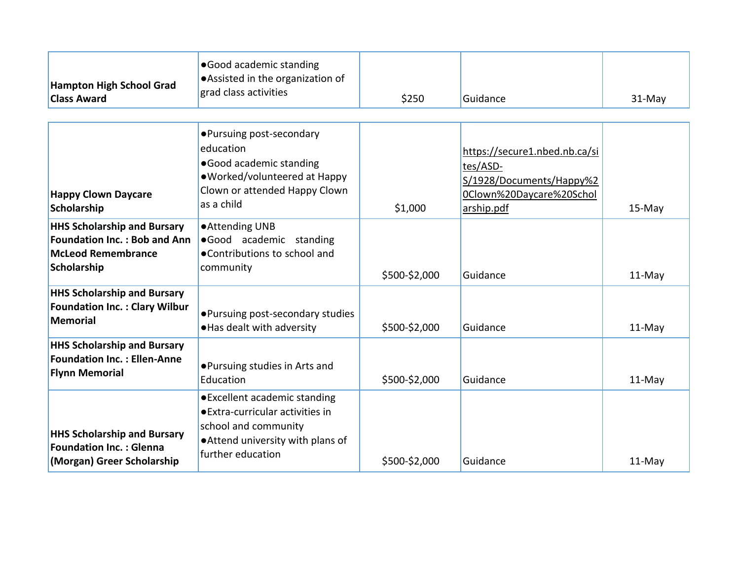| <b>Hampton High School Grad</b><br><b>Class Award</b>                                                          | •Good academic standing<br>• Assisted in the organization of<br>grad class activities                                                               | \$250         | Guidance                                                                                                        | $31-May$ |
|----------------------------------------------------------------------------------------------------------------|-----------------------------------------------------------------------------------------------------------------------------------------------------|---------------|-----------------------------------------------------------------------------------------------------------------|----------|
| <b>Happy Clown Daycare</b><br>Scholarship                                                                      | • Pursuing post-secondary<br>education<br>● Good academic standing<br>•Worked/volunteered at Happy<br>Clown or attended Happy Clown<br>as a child   | \$1,000       | https://secure1.nbed.nb.ca/si<br>tes/ASD-<br>S/1928/Documents/Happy%2<br>0Clown%20Daycare%20Schol<br>arship.pdf | 15-May   |
| <b>HHS Scholarship and Bursary</b><br>Foundation Inc.: Bob and Ann<br><b>McLeod Remembrance</b><br>Scholarship | ● Attending UNB<br>.Good academic standing<br>●Contributions to school and<br>community                                                             | \$500-\$2,000 | Guidance                                                                                                        | $11-May$ |
| <b>HHS Scholarship and Bursary</b><br><b>Foundation Inc.: Clary Wilbur</b><br><b>Memorial</b>                  | • Pursuing post-secondary studies<br>. Has dealt with adversity                                                                                     | \$500-\$2,000 | Guidance                                                                                                        | 11-May   |
| <b>HHS Scholarship and Bursary</b><br><b>Foundation Inc.: Ellen-Anne</b><br><b>Flynn Memorial</b>              | ●Pursuing studies in Arts and<br>Education                                                                                                          | \$500-\$2,000 | Guidance                                                                                                        | 11-May   |
| <b>HHS Scholarship and Bursary</b><br><b>Foundation Inc.: Glenna</b><br>(Morgan) Greer Scholarship             | ● Excellent academic standing<br>● Extra-curricular activities in<br>school and community<br>. Attend university with plans of<br>further education | \$500-\$2,000 | Guidance                                                                                                        | $11-May$ |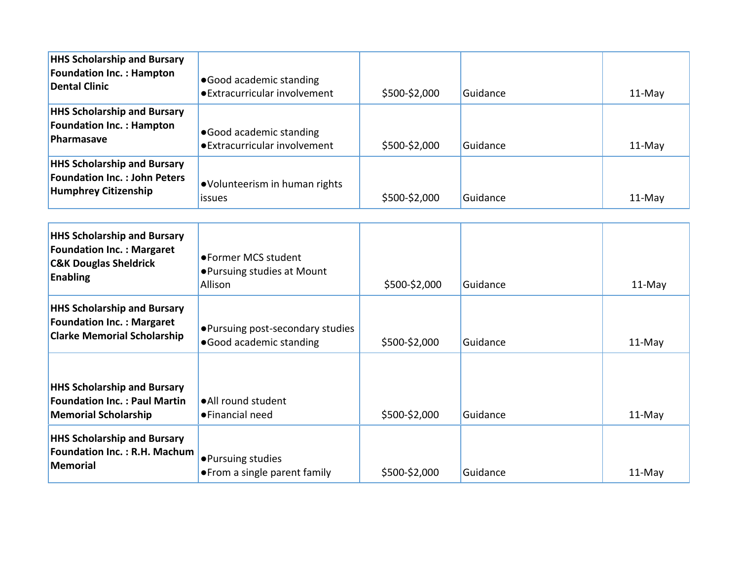| <b>HHS Scholarship and Bursary</b><br><b>Foundation Inc.: Hampton</b><br><b>Dental Clinic</b>                                                                                | •Good academic standing<br>• Extracurricular involvement      | \$500-\$2,000 | Guidance | 11-May   |
|------------------------------------------------------------------------------------------------------------------------------------------------------------------------------|---------------------------------------------------------------|---------------|----------|----------|
| <b>HHS Scholarship and Bursary</b><br><b>Foundation Inc.: Hampton</b><br>Pharmasave                                                                                          | • Good academic standing<br>• Extracurricular involvement     | \$500-\$2,000 | Guidance | 11-May   |
| <b>HHS Scholarship and Bursary</b><br><b>Foundation Inc.: John Peters</b><br><b>Humphrey Citizenship</b>                                                                     | •Volunteerism in human rights<br>issues                       | \$500-\$2,000 | Guidance | 11-May   |
| <b>HHS Scholarship and Bursary</b><br><b>Foundation Inc.: Margaret</b><br><b>C&amp;K Douglas Sheldrick</b><br><b>Enabling</b>                                                | ●Former MCS student<br>● Pursuing studies at Mount<br>Allison | \$500-\$2,000 | Guidance | 11-May   |
| <b>HHS Scholarship and Bursary</b><br><b>Foundation Inc.: Margaret</b><br>• Pursuing post-secondary studies<br><b>Clarke Memorial Scholarship</b><br>.Good academic standing |                                                               | \$500-\$2,000 | Guidance | $11-May$ |
| <b>HHS Scholarship and Bursary</b><br><b>Foundation Inc.: Paul Martin</b><br><b>Memorial Scholarship</b>                                                                     | • All round student<br>●Financial need                        | \$500-\$2,000 | Guidance | 11-May   |
| <b>HHS Scholarship and Bursary</b><br><b>Foundation Inc.: R.H. Machum</b><br><b>Memorial</b>                                                                                 | ·Pursuing studies<br>• From a single parent family            | \$500-\$2,000 | Guidance | 11-May   |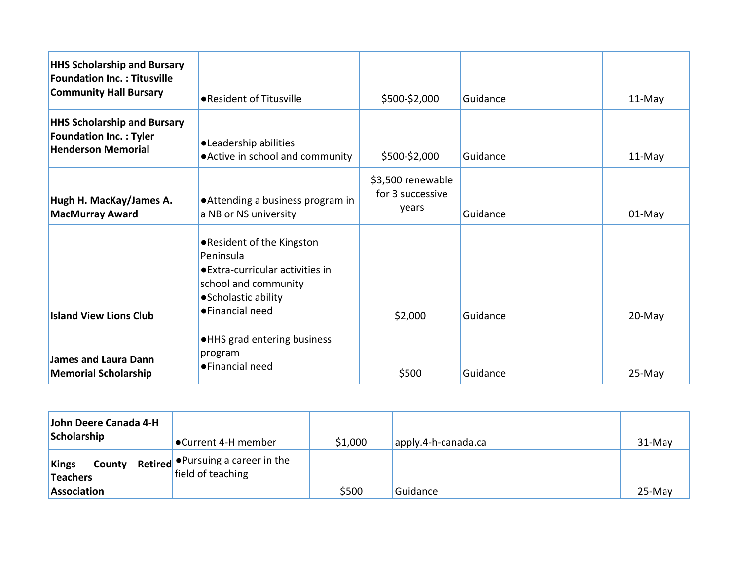| <b>HHS Scholarship and Bursary</b><br><b>Foundation Inc.: Titusville</b><br><b>Community Hall Bursary</b> | • Resident of Titusville                                                                                                                        | \$500-\$2,000                                  | Guidance | 11-May |
|-----------------------------------------------------------------------------------------------------------|-------------------------------------------------------------------------------------------------------------------------------------------------|------------------------------------------------|----------|--------|
| <b>HHS Scholarship and Bursary</b><br><b>Foundation Inc.: Tyler</b><br><b>Henderson Memorial</b>          | •Leadership abilities<br>• Active in school and community                                                                                       | \$500-\$2,000                                  | Guidance | 11-May |
| Hugh H. MacKay/James A.<br><b>MacMurray Award</b>                                                         | • Attending a business program in<br>a NB or NS university                                                                                      | \$3,500 renewable<br>for 3 successive<br>years | Guidance | 01-May |
| <b>Island View Lions Club</b>                                                                             | ● Resident of the Kingston<br>Peninsula<br>● Extra-curricular activities in<br>school and community<br>• Scholastic ability<br>• Financial need | \$2,000                                        | Guidance | 20-May |
| James and Laura Dann<br><b>Memorial Scholarship</b>                                                       | . HHS grad entering business<br>program<br>• Financial need                                                                                     | \$500                                          | Guidance | 25-May |

| John Deere Canada 4-H<br>Scholarship | ●Current 4-H member                                                   | \$1,000 | apply.4-h-canada.ca | $31-Mav$ |
|--------------------------------------|-----------------------------------------------------------------------|---------|---------------------|----------|
| Kings<br>Teachers<br>Association     | <b>County</b> Retired • Pursuing a career in the<br>field of teaching | \$500   | Guidance            | $25-Mav$ |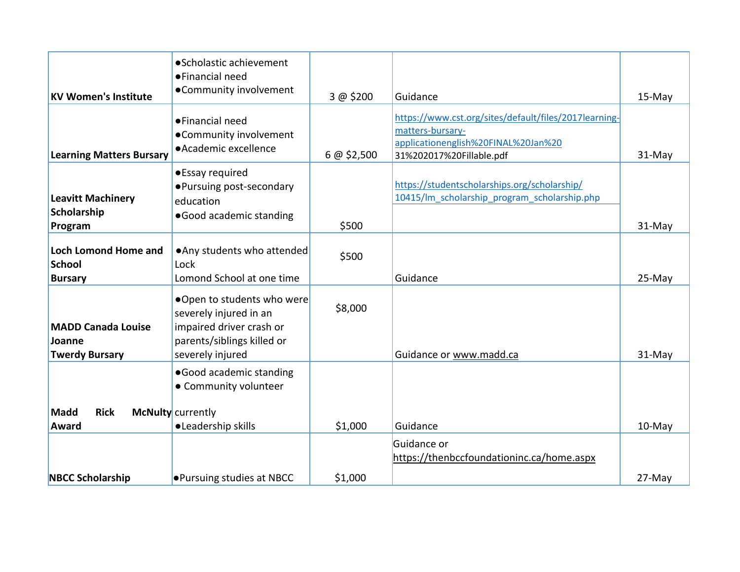| <b>KV Women's Institute</b>                                  | • Scholastic achievement<br>●Financial need<br>•Community involvement                                                              | 3 @ \$200   | Guidance                                                                                                                                     | 15-May |
|--------------------------------------------------------------|------------------------------------------------------------------------------------------------------------------------------------|-------------|----------------------------------------------------------------------------------------------------------------------------------------------|--------|
| <b>Learning Matters Bursary</b>                              | • Financial need<br>•Community involvement<br>• Academic excellence                                                                | 6 @ \$2,500 | https://www.cst.org/sites/default/files/2017learning-<br>matters-bursary-<br>applicationenglish%20FINAL%20Jan%20<br>31%202017%20Fillable.pdf | 31-May |
| <b>Leavitt Machinery</b><br>Scholarship<br>Program           | •Essay required<br>• Pursuing post-secondary<br>education<br>•Good academic standing                                               | \$500       | https://studentscholarships.org/scholarship/<br>10415/lm_scholarship_program_scholarship.php                                                 | 31-May |
| <b>Loch Lomond Home and</b><br>School<br><b>Bursary</b>      | . Any students who attended<br>Lock<br>Lomond School at one time                                                                   | \$500       | Guidance                                                                                                                                     | 25-May |
| <b>MADD Canada Louise</b><br>Joanne<br><b>Twerdy Bursary</b> | ●Open to students who were<br>severely injured in an<br>impaired driver crash or<br>parents/siblings killed or<br>severely injured | \$8,000     | Guidance or www.madd.ca                                                                                                                      | 31-May |
|                                                              | ·Good academic standing<br>• Community volunteer                                                                                   |             |                                                                                                                                              |        |
| <b>Rick</b><br><b>Madd</b><br><b>Award</b>                   | McNulty currently<br>·Leadership skills                                                                                            | \$1,000     | Guidance                                                                                                                                     | 10-May |
| <b>NBCC Scholarship</b>                                      | <b>.</b> Pursuing studies at NBCC                                                                                                  | \$1,000     | Guidance or<br>https://thenbccfoundationinc.ca/home.aspx                                                                                     | 27-May |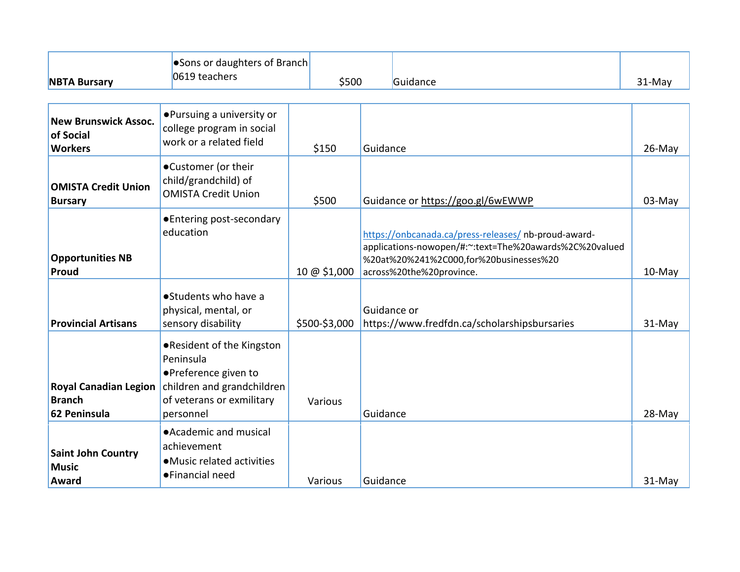|                                                               | • Sons or daughters of Branch                                                                                                           |               |                                   |                                                                                                                                                                                      |           |
|---------------------------------------------------------------|-----------------------------------------------------------------------------------------------------------------------------------------|---------------|-----------------------------------|--------------------------------------------------------------------------------------------------------------------------------------------------------------------------------------|-----------|
| <b>NBTA Bursary</b>                                           | 0619 teachers                                                                                                                           | \$500         |                                   | Guidance                                                                                                                                                                             | $31-May$  |
|                                                               |                                                                                                                                         |               |                                   |                                                                                                                                                                                      |           |
| <b>New Brunswick Assoc.</b><br>of Social<br><b>Workers</b>    | • Pursuing a university or<br>college program in social<br>work or a related field                                                      | \$150         | Guidance                          |                                                                                                                                                                                      | 26-May    |
| <b>OMISTA Credit Union</b><br><b>Bursary</b>                  | •Customer (or their<br>child/grandchild) of<br><b>OMISTA Credit Union</b>                                                               | \$500         | Guidance or https://goo.gl/6wEWWP | 03-May                                                                                                                                                                               |           |
| <b>Opportunities NB</b><br>Proud                              | ● Entering post-secondary<br>education                                                                                                  | 10 @ \$1,000  |                                   | https://onbcanada.ca/press-releases/ nb-proud-award-<br>applications-nowopen/#:~:text=The%20awards%2C%20valued<br>%20at%20%241%2C000,for%20businesses%20<br>across%20the%20province. | $10$ -May |
| <b>Provincial Artisans</b>                                    | ● Students who have a<br>physical, mental, or<br>sensory disability                                                                     | \$500-\$3,000 | Guidance or                       | https://www.fredfdn.ca/scholarshipsbursaries                                                                                                                                         | 31-May    |
| <b>Royal Canadian Legion</b><br><b>Branch</b><br>62 Peninsula | .Resident of the Kingston<br>Peninsula<br>• Preference given to<br>children and grandchildren<br>of veterans or exmilitary<br>personnel | Various       | Guidance                          |                                                                                                                                                                                      | 28-May    |
| Saint John Country<br><b>Music</b><br>Award                   | • Academic and musical<br>achievement<br>• Music related activities<br>• Financial need                                                 | Various       | Guidance                          |                                                                                                                                                                                      | 31-May    |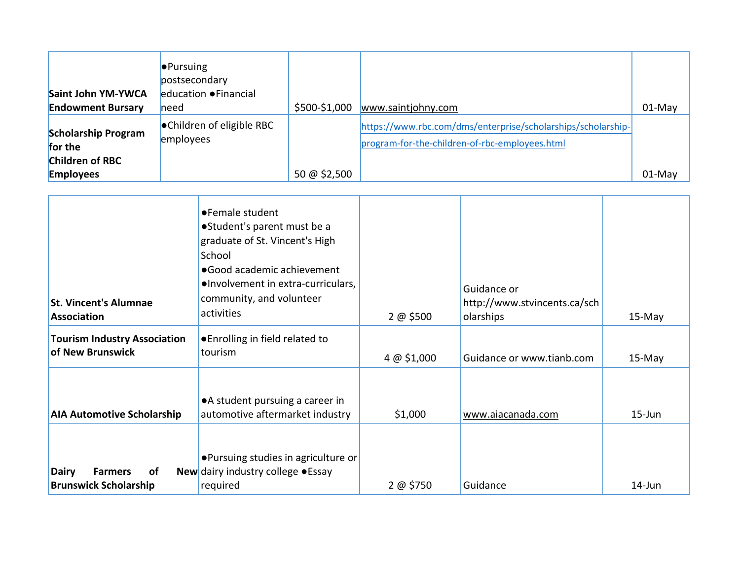| Saint John YM-YWCA                                              | $\bullet$ Pursuing<br>postsecondary<br>education • Financial |               |                                                                                                                |          |
|-----------------------------------------------------------------|--------------------------------------------------------------|---------------|----------------------------------------------------------------------------------------------------------------|----------|
| <b>Endowment Bursary</b>                                        | <b>l</b> need                                                | \$500-\$1,000 | www.saintjohny.com                                                                                             | $01-May$ |
| <b>Scholarship Program</b><br>for the<br><b>Children of RBC</b> | ● Children of eligible RBC<br>employees                      |               | https://www.rbc.com/dms/enterprise/scholarships/scholarship-<br>program-for-the-children-of-rbc-employees.html |          |
| <b>Employees</b>                                                |                                                              | 50 @ \$2,500  |                                                                                                                | 01-May   |

| <b>St. Vincent's Alumnae</b><br>Association                          | ● Female student<br>• Student's parent must be a<br>graduate of St. Vincent's High<br>School<br>● Good academic achievement<br>●Involvement in extra-curriculars,<br>community, and volunteer<br>activities | 2 @ \$500  | Guidance or<br>http://www.stvincents.ca/sch<br>olarships | 15-May     |
|----------------------------------------------------------------------|-------------------------------------------------------------------------------------------------------------------------------------------------------------------------------------------------------------|------------|----------------------------------------------------------|------------|
| <b>Tourism Industry Association</b><br>of New Brunswick              | ● Enrolling in field related to<br>tourism                                                                                                                                                                  | 4 @ 51,000 | Guidance or www.tianb.com                                | 15-May     |
| <b>AIA Automotive Scholarship</b>                                    | • A student pursuing a career in<br>automotive aftermarket industry                                                                                                                                         | \$1,000    | www.aiacanada.com                                        | $15 - Jun$ |
| of<br><b>Dairy</b><br><b>Farmers</b><br><b>Brunswick Scholarship</b> | • Pursuing studies in agriculture or<br>New dairy industry college . Essay<br>required                                                                                                                      | 2 @ 5750   | Guidance                                                 | 14-Jun     |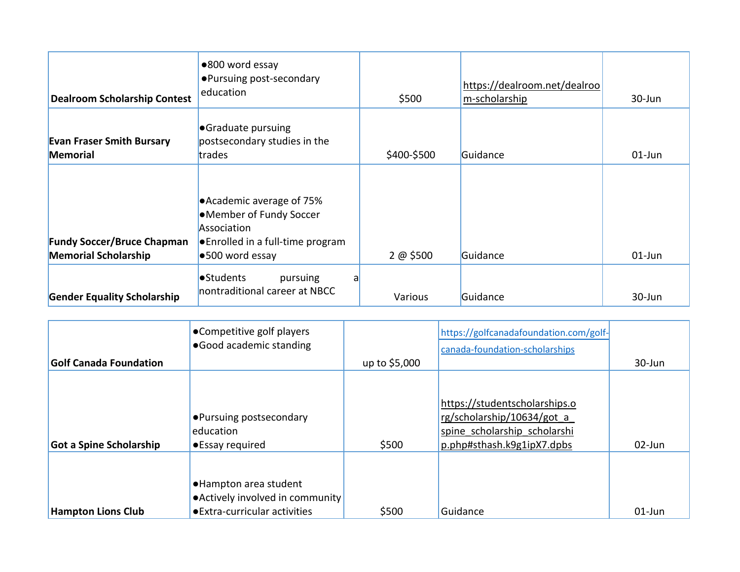| <b>Dealroom Scholarship Contest</b>                              | ●800 word essay<br>• Pursuing post-secondary<br>education                                                                   | \$500       | https://dealroom.net/dealroo<br>m-scholarship | 30-Jun    |
|------------------------------------------------------------------|-----------------------------------------------------------------------------------------------------------------------------|-------------|-----------------------------------------------|-----------|
| <b>Evan Fraser Smith Bursary</b><br><b>Memorial</b>              | <b>•</b> Graduate pursuing<br>postsecondary studies in the<br>trades                                                        | \$400-\$500 | Guidance                                      | $01$ -Jun |
| <b>Fundy Soccer/Bruce Chapman</b><br><b>Memorial Scholarship</b> | ● Academic average of 75%<br>•Member of Fundy Soccer<br>Association<br>● Enrolled in a full-time program<br>●500 word essay | 2 @ \$500   | Guidance                                      | $01$ -Jun |
| <b>Gender Equality Scholarship</b>                               | •Students<br>pursuing<br>nontraditional career at NBCC                                                                      | Various     | Guidance                                      | 30-Jun    |

| <b>Golf Canada Foundation</b>  | •Competitive golf players<br>• Good academic standing                                       | up to \$5,000 | https://golfcanadafoundation.com/golf-<br>canada-foundation-scholarships                                                  | 30-Jun    |
|--------------------------------|---------------------------------------------------------------------------------------------|---------------|---------------------------------------------------------------------------------------------------------------------------|-----------|
| <b>Got a Spine Scholarship</b> | • Pursuing postsecondary<br>education<br>•Essay required                                    | \$500         | https://studentscholarships.o<br>rg/scholarship/10634/got a<br>spine scholarship scholarshi<br>p.php#sthash.k9g1ipX7.dpbs | 02-Jun    |
| <b>Hampton Lions Club</b>      | • Hampton area student<br>• Actively involved in community<br>● Extra-curricular activities | \$500         | Guidance                                                                                                                  | $01$ -Jun |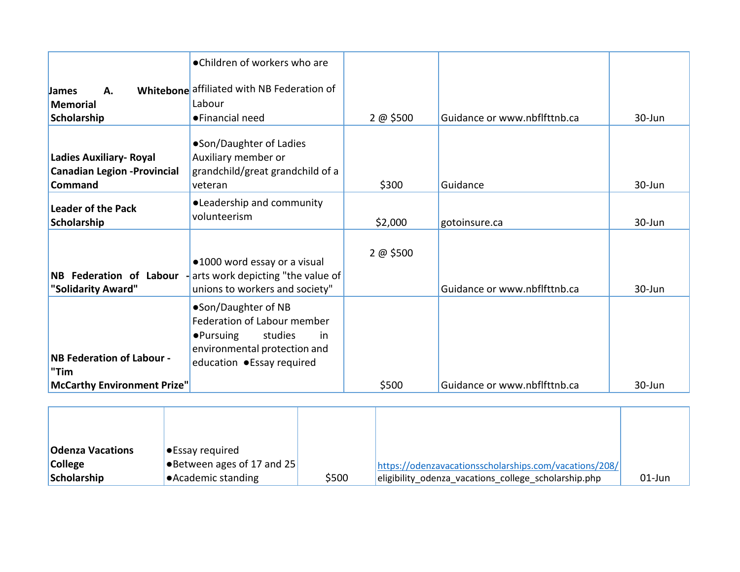|                                                                                         | •Children of workers who are                                                                                                                            |           |                              |        |
|-----------------------------------------------------------------------------------------|---------------------------------------------------------------------------------------------------------------------------------------------------------|-----------|------------------------------|--------|
| А.<br><b>James</b><br><b>Memorial</b><br>Scholarship                                    | Whitebone affiliated with NB Federation of<br>Labour<br>• Financial need                                                                                | 2 @ \$500 | Guidance or www.nbflfttnb.ca | 30-Jun |
| <b>Ladies Auxiliary- Royal</b><br><b>Canadian Legion - Provincial</b><br><b>Command</b> | •Son/Daughter of Ladies<br>Auxiliary member or<br>grandchild/great grandchild of a<br>veteran                                                           | \$300     | Guidance                     | 30-Jun |
| <b>Leader of the Pack</b><br>Scholarship                                                | • Leadership and community<br>volunteerism                                                                                                              | \$2,000   | gotoinsure.ca                | 30-Jun |
| NB Federation of Labour<br>"Solidarity Award"                                           | •1000 word essay or a visual<br>arts work depicting "the value of<br>unions to workers and society"                                                     | 2 @ \$500 | Guidance or www.nbflfttnb.ca | 30-Jun |
| <b>NB Federation of Labour -</b><br>"Tim                                                | •Son/Daughter of NB<br>Federation of Labour member<br>studies<br>$\bullet$ Pursuing<br>in<br>environmental protection and<br>education • Essay required |           |                              |        |
| McCarthy Environment Prize"                                                             |                                                                                                                                                         | \$500     | Guidance or www.nbflfttnb.ca | 30-Jun |

| <b>Odenza Vacations</b> | <b>Essay required</b>              |       |                                                        |        |
|-------------------------|------------------------------------|-------|--------------------------------------------------------|--------|
| <b>College</b>          | <b>•</b> Between ages of 17 and 25 |       | https://odenzavacationsscholarships.com/vacations/208/ |        |
| Scholarship             | $\bullet$ Academic standing        | \$500 | eligibility odenza vacations college scholarship.php   | 01-Jun |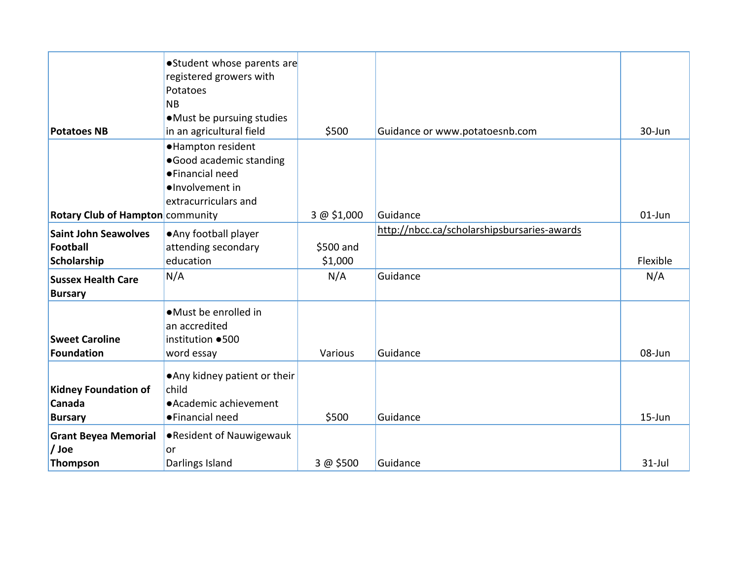|                                  | •Student whose parents are    |             |                                             |            |
|----------------------------------|-------------------------------|-------------|---------------------------------------------|------------|
|                                  | registered growers with       |             |                                             |            |
|                                  | Potatoes                      |             |                                             |            |
|                                  | <b>NB</b>                     |             |                                             |            |
|                                  | • Must be pursuing studies    |             |                                             |            |
| <b>Potatoes NB</b>               | in an agricultural field      | \$500       | Guidance or www.potatoesnb.com              | 30-Jun     |
|                                  | ·Hampton resident             |             |                                             |            |
|                                  | ·Good academic standing       |             |                                             |            |
|                                  | ● Financial need              |             |                                             |            |
|                                  | ·Involvement in               |             |                                             |            |
|                                  | extracurriculars and          |             |                                             |            |
| Rotary Club of Hampton community |                               | 3 @ \$1,000 | Guidance                                    | $01$ -Jun  |
| <b>Saint John Seawolves</b>      | • Any football player         |             | http://nbcc.ca/scholarshipsbursaries-awards |            |
| Football                         | attending secondary           | \$500 and   |                                             |            |
| Scholarship                      | education                     | \$1,000     |                                             | Flexible   |
|                                  | N/A                           | N/A         | Guidance                                    | N/A        |
| <b>Sussex Health Care</b>        |                               |             |                                             |            |
| <b>Bursary</b>                   |                               |             |                                             |            |
|                                  | • Must be enrolled in         |             |                                             |            |
|                                  | an accredited                 |             |                                             |            |
| <b>Sweet Caroline</b>            | institution ●500              |             |                                             |            |
| Foundation                       | word essay                    | Various     | Guidance                                    | 08-Jun     |
|                                  | • Any kidney patient or their |             |                                             |            |
| <b>Kidney Foundation of</b>      | child                         |             |                                             |            |
| Canada                           | • Academic achievement        |             |                                             |            |
| <b>Bursary</b>                   | • Financial need              | \$500       | Guidance                                    | $15 - Jun$ |
|                                  |                               |             |                                             |            |
| <b>Grant Beyea Memorial</b>      | • Resident of Nauwigewauk     |             |                                             |            |
| / Joe                            | or                            |             |                                             |            |
| Thompson                         | Darlings Island               | 3 @ \$500   | Guidance                                    | $31$ -Jul  |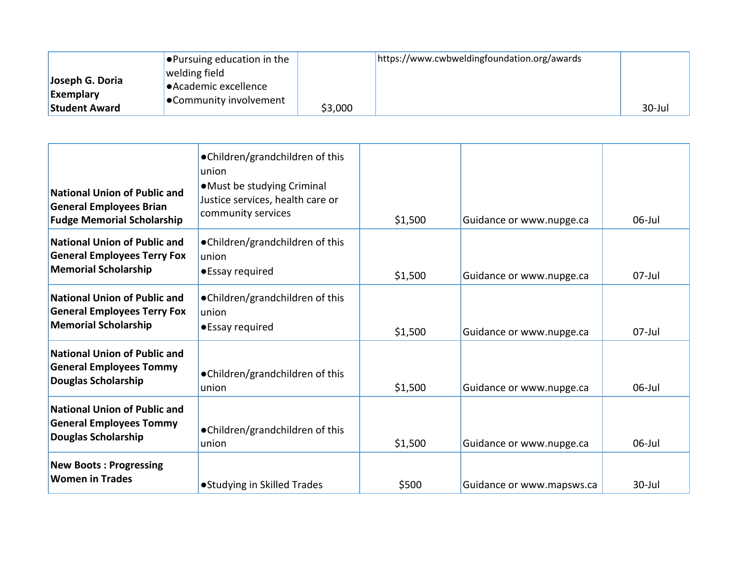|                      | $\bullet$ Pursuing education in the |         | https://www.cwbweldingfoundation.org/awards |        |
|----------------------|-------------------------------------|---------|---------------------------------------------|--------|
|                      | welding field                       |         |                                             |        |
| Joseph G. Doria      | $\bullet$ Academic excellence       |         |                                             |        |
| <b>Exemplary</b>     | <b>Community involvement</b>        |         |                                             |        |
| <b>Student Award</b> |                                     | \$3,000 |                                             | 30-Jul |

| <b>National Union of Public and</b><br><b>General Employees Brian</b><br><b>Fudge Memorial Scholarship</b> | •Children/grandchildren of this<br>union<br>• Must be studying Criminal<br>Justice services, health care or<br>community services | \$1,500 | Guidance or www.nupge.ca  | $06$ -Jul |
|------------------------------------------------------------------------------------------------------------|-----------------------------------------------------------------------------------------------------------------------------------|---------|---------------------------|-----------|
| <b>National Union of Public and</b><br><b>General Employees Terry Fox</b><br><b>Memorial Scholarship</b>   | •Children/grandchildren of this<br>union<br>•Essay required                                                                       | \$1,500 | Guidance or www.nupge.ca  | $07$ -Jul |
| <b>National Union of Public and</b><br><b>General Employees Terry Fox</b><br><b>Memorial Scholarship</b>   | •Children/grandchildren of this<br>union<br>•Essay required                                                                       | \$1,500 | Guidance or www.nupge.ca  | $07$ -Jul |
| <b>National Union of Public and</b><br><b>General Employees Tommy</b><br><b>Douglas Scholarship</b>        | •Children/grandchildren of this<br>union                                                                                          | \$1,500 | Guidance or www.nupge.ca  | $06$ -Jul |
| <b>National Union of Public and</b><br><b>General Employees Tommy</b><br><b>Douglas Scholarship</b>        | •Children/grandchildren of this<br>union                                                                                          | \$1,500 | Guidance or www.nupge.ca  | $06$ -Jul |
| <b>New Boots: Progressing</b><br><b>Women in Trades</b>                                                    | ● Studying in Skilled Trades                                                                                                      | \$500   | Guidance or www.mapsws.ca | $30$ -Jul |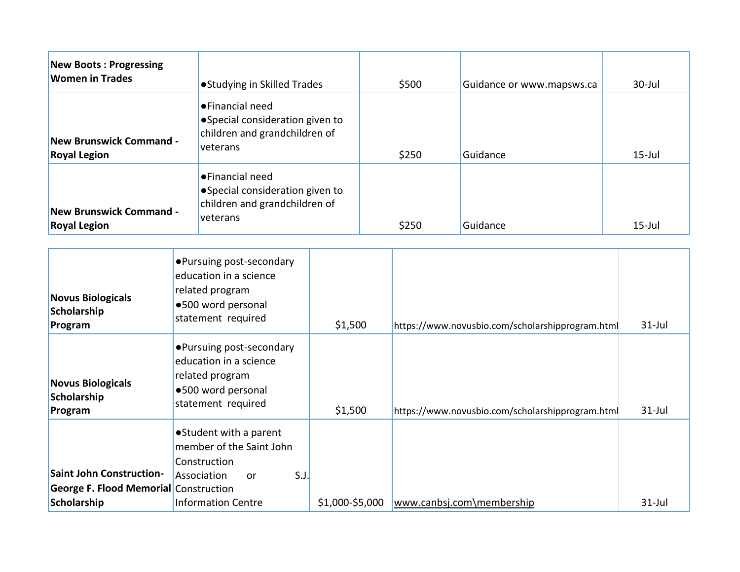| <b>New Boots: Progressing</b><br><b>Women in Trades</b>                         |                                                                                                                | • Studying in Skilled Trades                                                                                       |      |                 | \$500 | Guidance or www.mapsws.ca                        | 30-Jul    |
|---------------------------------------------------------------------------------|----------------------------------------------------------------------------------------------------------------|--------------------------------------------------------------------------------------------------------------------|------|-----------------|-------|--------------------------------------------------|-----------|
|                                                                                 |                                                                                                                | ●Financial need                                                                                                    |      |                 |       |                                                  |           |
| <b>Royal Legion</b>                                                             | ·Special consideration given to<br>children and grandchildren of<br><b>New Brunswick Command -</b><br>veterans |                                                                                                                    |      |                 | \$250 | Guidance                                         | $15$ -Jul |
| <b>New Brunswick Command -</b>                                                  |                                                                                                                | • Financial need<br>·Special consideration given to<br>children and grandchildren of<br>veterans                   |      |                 |       |                                                  |           |
| <b>Royal Legion</b>                                                             |                                                                                                                |                                                                                                                    |      |                 | \$250 | Guidance                                         | $15$ -Jul |
| <b>Novus Biologicals</b><br>Scholarship<br>Program                              |                                                                                                                | • Pursuing post-secondary<br>education in a science<br>related program<br>·500 word personal<br>statement required |      | \$1,500         |       | https://www.novusbio.com/scholarshipprogram.html | $31$ -Jul |
| <b>Novus Biologicals</b><br>Scholarship<br>Program                              |                                                                                                                | • Pursuing post-secondary<br>education in a science<br>related program<br>·500 word personal<br>statement required |      | \$1,500         |       | https://www.novusbio.com/scholarshipprogram.html | $31$ -Jul |
| <b>Saint John Construction-</b><br><b>George F. Flood Memorial Construction</b> | Association                                                                                                    | ● Student with a parent<br>member of the Saint John<br>Construction<br>or                                          | S.J. |                 |       |                                                  |           |
| Scholarship                                                                     |                                                                                                                | <b>Information Centre</b>                                                                                          |      | \$1,000-\$5,000 |       | www.canbsj.com\membership                        | $31$ -Jul |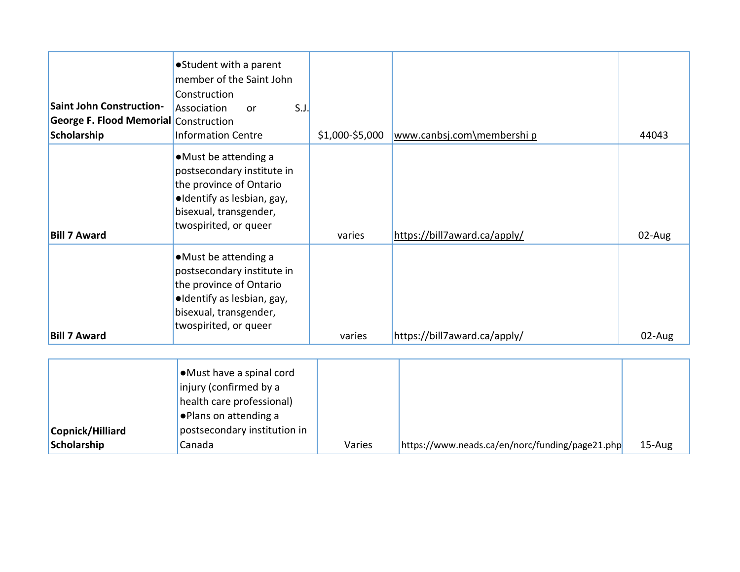| <b>Saint John Construction-</b><br><b>George F. Flood Memorial Construction</b><br>Scholarship | • Student with a parent<br>member of the Saint John<br>Construction<br>S.J.<br>Association<br>or<br><b>Information Centre</b>                                  | \$1,000-\$5,000 | www.canbsj.com\membership                       | 44043  |
|------------------------------------------------------------------------------------------------|----------------------------------------------------------------------------------------------------------------------------------------------------------------|-----------------|-------------------------------------------------|--------|
| <b>Bill 7 Award</b>                                                                            | •Must be attending a<br>postsecondary institute in<br>the province of Ontario<br>·Identify as lesbian, gay,<br>bisexual, transgender,<br>twospirited, or queer | varies          | https://bill7award.ca/apply/                    | 02-Aug |
| <b>Bill 7 Award</b>                                                                            | •Must be attending a<br>postsecondary institute in<br>the province of Ontario<br>·Identify as lesbian, gay,<br>bisexual, transgender,<br>twospirited, or queer | varies          | https://bill7award.ca/apply/                    | 02-Aug |
| Copnick/Hilliard<br>Scholarship                                                                | •Must have a spinal cord<br>injury (confirmed by a<br>health care professional)<br>. Plans on attending a<br>postsecondary institution in<br>Canada            | Varies          | https://www.neads.ca/en/norc/funding/page21.php | 15-Aug |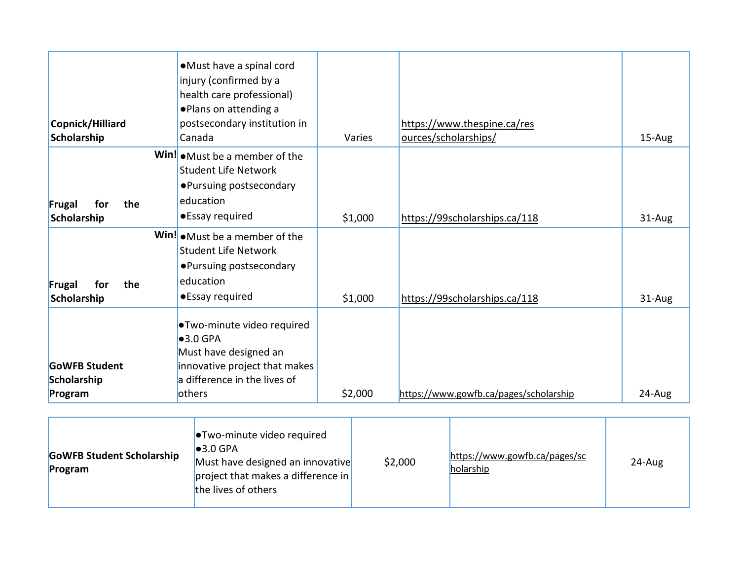| Copnick/Hilliard<br>Scholarship                | •Must have a spinal cord<br>injury (confirmed by a<br>health care professional)<br>. Plans on attending a<br>postsecondary institution in<br>Canada         | Varies  | https://www.thespine.ca/res<br>ources/scholarships/ | 15-Aug |
|------------------------------------------------|-------------------------------------------------------------------------------------------------------------------------------------------------------------|---------|-----------------------------------------------------|--------|
| the<br>Frugal<br>for<br>Scholarship            | Win! $\bullet$ Must be a member of the<br><b>Student Life Network</b><br>• Pursuing postsecondary<br>education<br>•Essay required                           | \$1,000 | https://99scholarships.ca/118                       | 31-Aug |
| the<br>Frugal<br>for<br>Scholarship            | Win! $\bullet$ Must be a member of the<br><b>Student Life Network</b><br>• Pursuing postsecondary<br>education<br>•Essay required                           | \$1,000 | https://99scholarships.ca/118                       | 31-Aug |
| <b>GoWFB Student</b><br>Scholarship<br>Program | ●Two-minute video required<br>$\bullet$ 3.0 GPA<br>Must have designed an<br>innovative project that makes<br>a difference in the lives of<br><b>lothers</b> | \$2,000 | https://www.gowfb.ca/pages/scholarship              | 24-Aug |

| <b>GoWFB Student Scholarship</b><br>Program | <b>.</b> Two-minute video required<br>$\bullet$ 3.0 GPA<br>Must have designed an innovative<br> project that makes a difference in<br>the lives of others | \$2,000 | https://www.gowfb.ca/pages/sc<br>holarship | 24-Aug |
|---------------------------------------------|-----------------------------------------------------------------------------------------------------------------------------------------------------------|---------|--------------------------------------------|--------|
|---------------------------------------------|-----------------------------------------------------------------------------------------------------------------------------------------------------------|---------|--------------------------------------------|--------|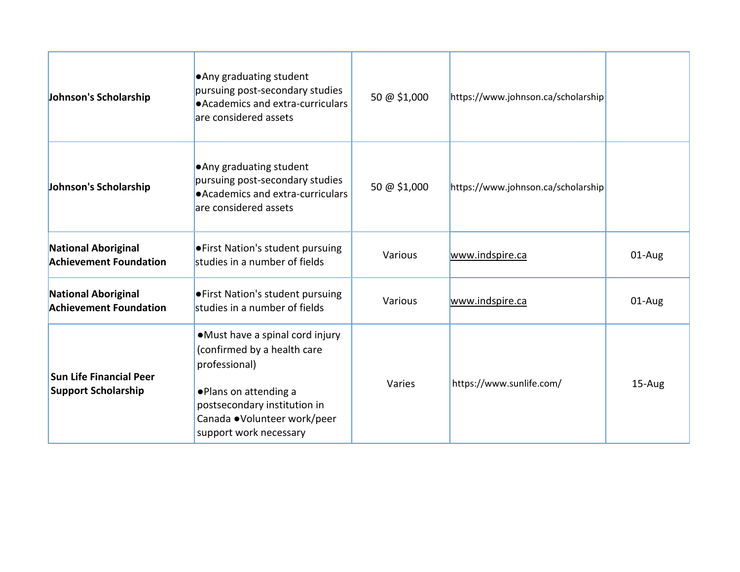| Johnson's Scholarship                                        | . Any graduating student<br>pursuing post-secondary studies<br>● Academics and extra-curriculars<br>are considered assets                                                                           | 50 @ \$1,000 | https://www.johnson.ca/scholarship |        |
|--------------------------------------------------------------|-----------------------------------------------------------------------------------------------------------------------------------------------------------------------------------------------------|--------------|------------------------------------|--------|
| Johnson's Scholarship                                        | . Any graduating student<br>pursuing post-secondary studies<br>• Academics and extra-curriculars<br>are considered assets                                                                           | 50 @ \$1,000 | https://www.johnson.ca/scholarship |        |
| <b>National Aboriginal</b><br><b>Achievement Foundation</b>  | <b>.</b> First Nation's student pursuing<br>studies in a number of fields                                                                                                                           | Various      | www.indspire.ca                    | 01-Aug |
| <b>National Aboriginal</b><br><b>Achievement Foundation</b>  | <b>• First Nation's student pursuing</b><br>studies in a number of fields                                                                                                                           | Various      | www.indspire.ca                    | 01-Aug |
| <b>Sun Life Financial Peer</b><br><b>Support Scholarship</b> | • Must have a spinal cord injury<br>(confirmed by a health care<br>professional)<br>. Plans on attending a<br>postsecondary institution in<br>Canada .Volunteer work/peer<br>support work necessary | Varies       | https://www.sunlife.com/           | 15-Aug |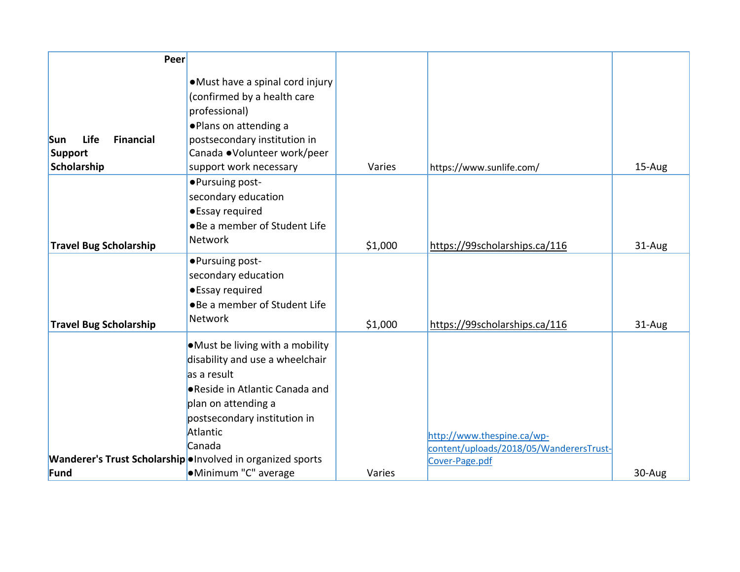| Peer                                                        |                                                                                                                                                                                                    |         |                                                                       |        |
|-------------------------------------------------------------|----------------------------------------------------------------------------------------------------------------------------------------------------------------------------------------------------|---------|-----------------------------------------------------------------------|--------|
| <b>Life</b><br><b>Financial</b><br><b>Sun</b><br>Support    | • Must have a spinal cord injury<br>(confirmed by a health care<br>professional)<br>. Plans on attending a<br>postsecondary institution in<br>Canada .Volunteer work/peer                          |         |                                                                       |        |
| Scholarship                                                 | support work necessary                                                                                                                                                                             | Varies  | https://www.sunlife.com/                                              | 15-Aug |
| <b>Travel Bug Scholarship</b>                               | •Pursuing post-<br>secondary education<br>•Essay required<br>. Be a member of Student Life<br><b>Network</b>                                                                                       | \$1,000 | https://99scholarships.ca/116                                         | 31-Aug |
| <b>Travel Bug Scholarship</b>                               | •Pursuing post-<br>secondary education<br>•Essay required<br>•Be a member of Student Life<br><b>Network</b>                                                                                        | \$1,000 | https://99scholarships.ca/116                                         | 31-Aug |
|                                                             | • Must be living with a mobility<br>disability and use a wheelchair<br>as a result<br>● Reside in Atlantic Canada and<br>plan on attending a<br>postsecondary institution in<br>Atlantic<br>Canada |         | http://www.thespine.ca/wp-<br>content/uploads/2018/05/WanderersTrust- |        |
| Wanderer's Trust Scholarship . Involved in organized sports |                                                                                                                                                                                                    |         | Cover-Page.pdf                                                        |        |
| Fund                                                        | •Minimum "C" average                                                                                                                                                                               | Varies  |                                                                       | 30-Aug |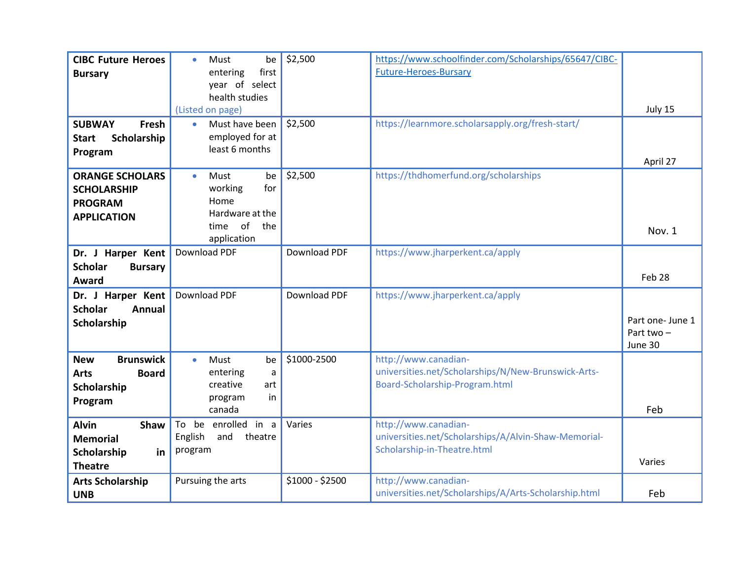| <b>CIBC Future Heroes</b><br><b>Bursary</b>                                             | Must<br>be<br>$\bullet$<br>first<br>entering<br>year of select<br>health studies<br>(Listed on page)         | \$2,500             | https://www.schoolfinder.com/Scholarships/65647/CIBC-<br><b>Future-Heroes-Bursary</b>                         | July 15                                  |
|-----------------------------------------------------------------------------------------|--------------------------------------------------------------------------------------------------------------|---------------------|---------------------------------------------------------------------------------------------------------------|------------------------------------------|
| Fresh<br><b>SUBWAY</b><br>Scholarship<br><b>Start</b><br>Program                        | Must have been<br>$\bullet$<br>employed for at<br>least 6 months                                             | \$2,500             | https://learnmore.scholarsapply.org/fresh-start/                                                              | April 27                                 |
| <b>ORANGE SCHOLARS</b><br><b>SCHOLARSHIP</b><br><b>PROGRAM</b><br><b>APPLICATION</b>    | <b>Must</b><br>be<br>$\bullet$<br>for<br>working<br>Home<br>Hardware at the<br>of the<br>time<br>application | \$2,500             | https://thdhomerfund.org/scholarships                                                                         | Nov. 1                                   |
| Dr. J Harper Kent<br><b>Scholar</b><br><b>Bursary</b><br>Award                          | <b>Download PDF</b>                                                                                          | <b>Download PDF</b> | https://www.jharperkent.ca/apply                                                                              | Feb 28                                   |
| Dr. J Harper Kent<br><b>Scholar</b><br>Annual<br>Scholarship                            | <b>Download PDF</b>                                                                                          | <b>Download PDF</b> | https://www.jharperkent.ca/apply                                                                              | Part one- June 1<br>Part two-<br>June 30 |
| <b>New</b><br><b>Brunswick</b><br><b>Arts</b><br><b>Board</b><br>Scholarship<br>Program | Must<br>$\bullet$<br>be<br>entering<br>a<br>creative<br>art<br>program<br>in<br>canada                       | \$1000-2500         | http://www.canadian-<br>universities.net/Scholarships/N/New-Brunswick-Arts-<br>Board-Scholarship-Program.html | Feb                                      |
| <b>Alvin</b><br><b>Shaw</b><br><b>Memorial</b><br>Scholarship<br>in<br><b>Theatre</b>   | be enrolled in a<br>To<br>English<br>and<br>theatre<br>program                                               | Varies              | http://www.canadian-<br>universities.net/Scholarships/A/Alvin-Shaw-Memorial-<br>Scholarship-in-Theatre.html   | Varies                                   |
| <b>Arts Scholarship</b><br><b>UNB</b>                                                   | Pursuing the arts                                                                                            | \$1000 - \$2500     | http://www.canadian-<br>universities.net/Scholarships/A/Arts-Scholarship.html                                 | Feb                                      |